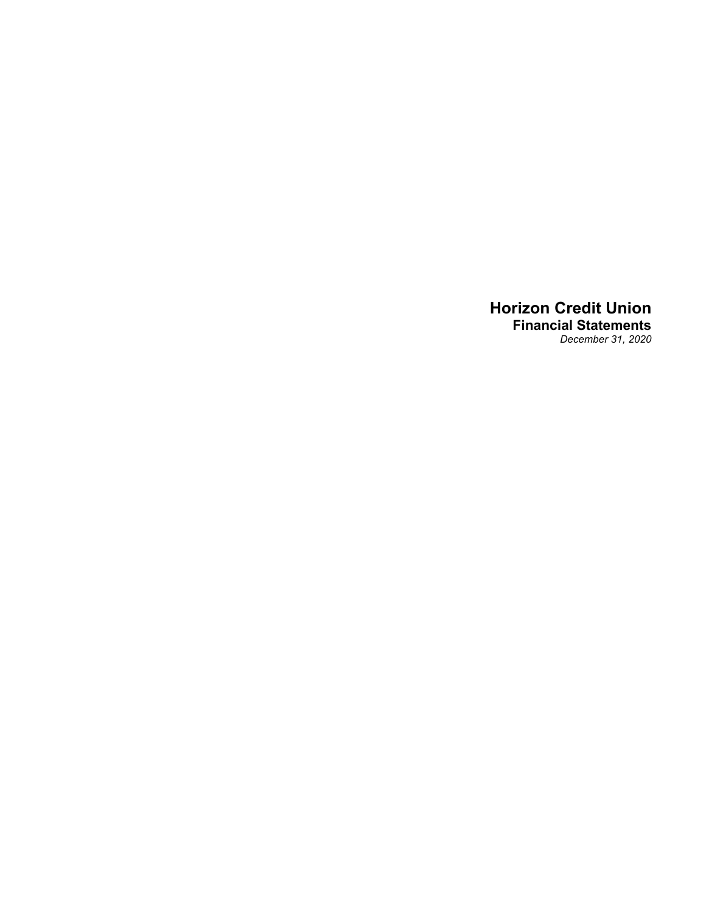## **Horizon Credit Union Financial Statements** *December 31, 2020*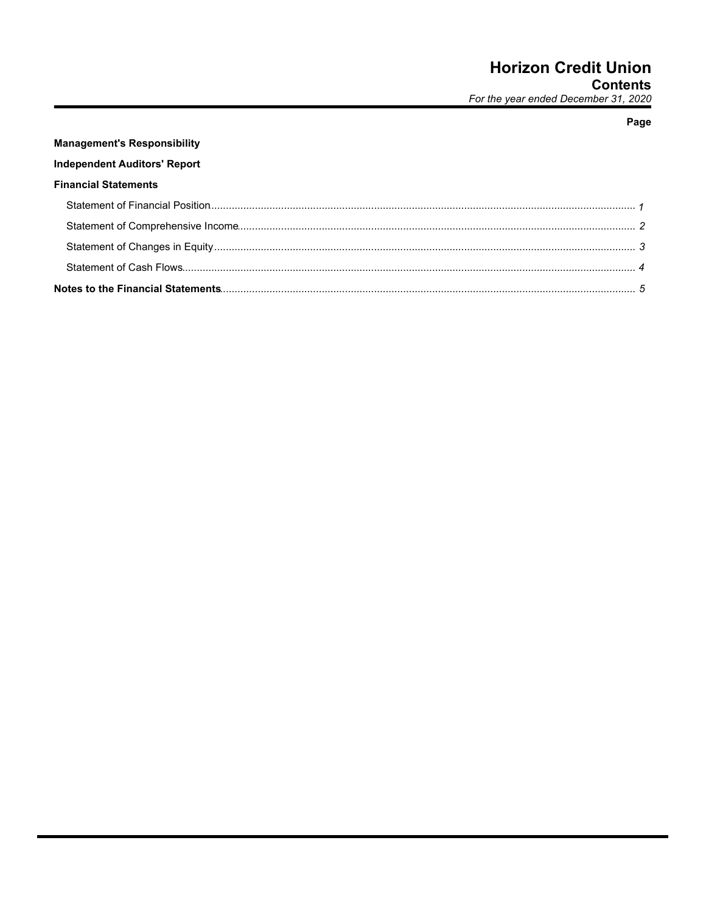## Page

# **Management's Responsibility Independent Auditors' Report Financial Statements**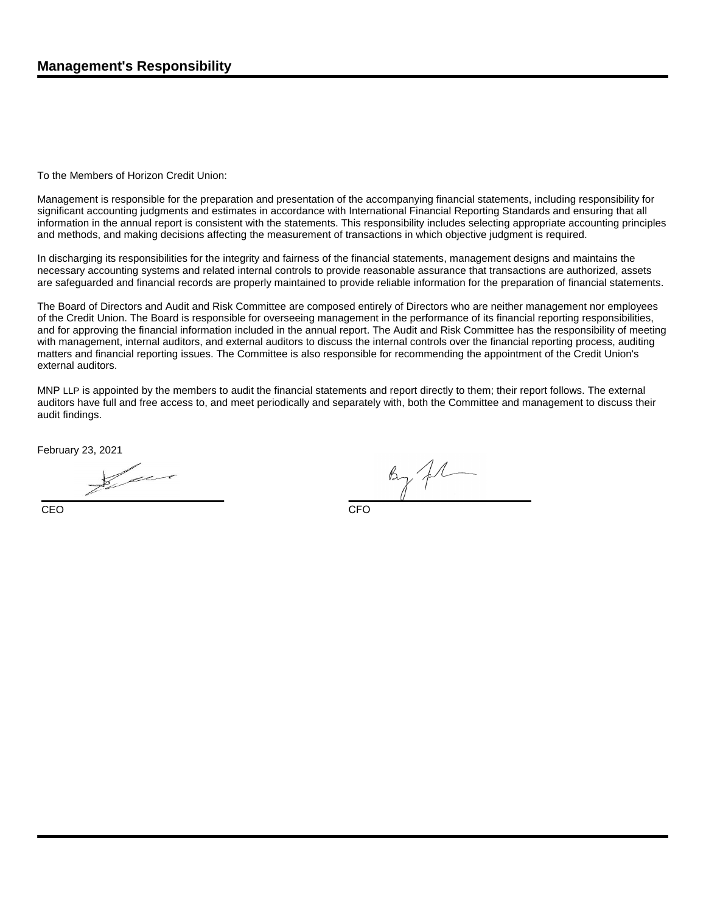To the Members of Horizon Credit Union:

Management is responsible for the preparation and presentation of the accompanying financial statements, including responsibility for significant accounting judgments and estimates in accordance with International Financial Reporting Standards and ensuring that all information in the annual report is consistent with the statements. This responsibility includes selecting appropriate accounting principles and methods, and making decisions affecting the measurement of transactions in which objective judgment is required.

In discharging its responsibilities for the integrity and fairness of the financial statements, management designs and maintains the necessary accounting systems and related internal controls to provide reasonable assurance that transactions are authorized, assets are safeguarded and financial records are properly maintained to provide reliable information for the preparation of financial statements.

The Board of Directors and Audit and Risk Committee are composed entirely of Directors who are neither management nor employees of the Credit Union. The Board is responsible for overseeing management in the performance of its financial reporting responsibilities, and for approving the financial information included in the annual report. The Audit and Risk Committee has the responsibility of meeting with management, internal auditors, and external auditors to discuss the internal controls over the financial reporting process, auditing matters and financial reporting issues. The Committee is also responsible for recommending the appointment of the Credit Union's external auditors.

MNP LLP is appointed by the members to audit the financial statements and report directly to them; their report follows. The external auditors have full and free access to, and meet periodically and separately with, both the Committee and management to discuss their audit findings.

February 23, 2021

CEO CEO CHE ANNO 1999 - CEO CHE ANNO 1999 - CEO CHE ANNO 1999 - CEO CHE ANNO 1999 - CEO

 $\kappa_{\gamma}$  from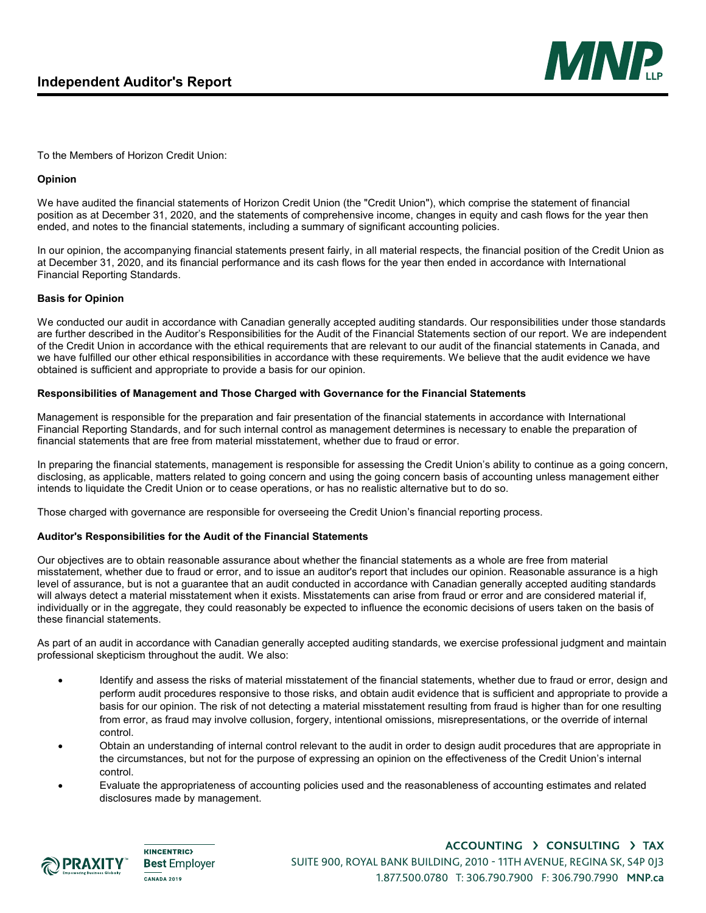

To the Members of Horizon Credit Union:

## **Opinion**

We have audited the financial statements of Horizon Credit Union (the "Credit Union"), which comprise the statement of financial position as at December 31, 2020, and the statements of comprehensive income, changes in equity and cash flows for the year then ended, and notes to the financial statements, including a summary of significant accounting policies.

In our opinion, the accompanying financial statements present fairly, in all material respects, the financial position of the Credit Union as at December 31, 2020, and its financial performance and its cash flows for the year then ended in accordance with International Financial Reporting Standards.

## **Basis for Opinion**

We conducted our audit in accordance with Canadian generally accepted auditing standards. Our responsibilities under those standards are further described in the Auditor's Responsibilities for the Audit of the Financial Statements section of our report. We are independent of the Credit Union in accordance with the ethical requirements that are relevant to our audit of the financial statements in Canada, and we have fulfilled our other ethical responsibilities in accordance with these requirements. We believe that the audit evidence we have obtained is sufficient and appropriate to provide a basis for our opinion.

## **Responsibilities of Management and Those Charged with Governance for the Financial Statements**

Management is responsible for the preparation and fair presentation of the financial statements in accordance with International Financial Reporting Standards, and for such internal control as management determines is necessary to enable the preparation of financial statements that are free from material misstatement, whether due to fraud or error.

In preparing the financial statements, management is responsible for assessing the Credit Union's ability to continue as a going concern, disclosing, as applicable, matters related to going concern and using the going concern basis of accounting unless management either intends to liquidate the Credit Union or to cease operations, or has no realistic alternative but to do so.

Those charged with governance are responsible for overseeing the Credit Union's financial reporting process.

## **Auditor's Responsibilities for the Audit of the Financial Statements**

Our objectives are to obtain reasonable assurance about whether the financial statements as a whole are free from material misstatement, whether due to fraud or error, and to issue an auditor's report that includes our opinion. Reasonable assurance is a high level of assurance, but is not a guarantee that an audit conducted in accordance with Canadian generally accepted auditing standards will always detect a material misstatement when it exists. Misstatements can arise from fraud or error and are considered material if, individually or in the aggregate, they could reasonably be expected to influence the economic decisions of users taken on the basis of these financial statements.

As part of an audit in accordance with Canadian generally accepted auditing standards, we exercise professional judgment and maintain professional skepticism throughout the audit. We also:

- Identify and assess the risks of material misstatement of the financial statements, whether due to fraud or error, design and perform audit procedures responsive to those risks, and obtain audit evidence that is sufficient and appropriate to provide a basis for our opinion. The risk of not detecting a material misstatement resulting from fraud is higher than for one resulting from error, as fraud may involve collusion, forgery, intentional omissions, misrepresentations, or the override of internal control.
- Obtain an understanding of internal control relevant to the audit in order to design audit procedures that are appropriate in the circumstances, but not for the purpose of expressing an opinion on the effectiveness of the Credit Union's internal control.
- Evaluate the appropriateness of accounting policies used and the reasonableness of accounting estimates and related disclosures made by management.



**KINCENTRIC> Best** Employer CANADA 2019

ACCOUNTING > CONSULTING > TAX SUITE 900, ROYAL BANK BUILDING, 2010 - 11TH AVENUE, REGINA SK, S4P 0J3 1.877.500.0780 T: 306.790.7900 F: 306.790.7990 **MNP.ca**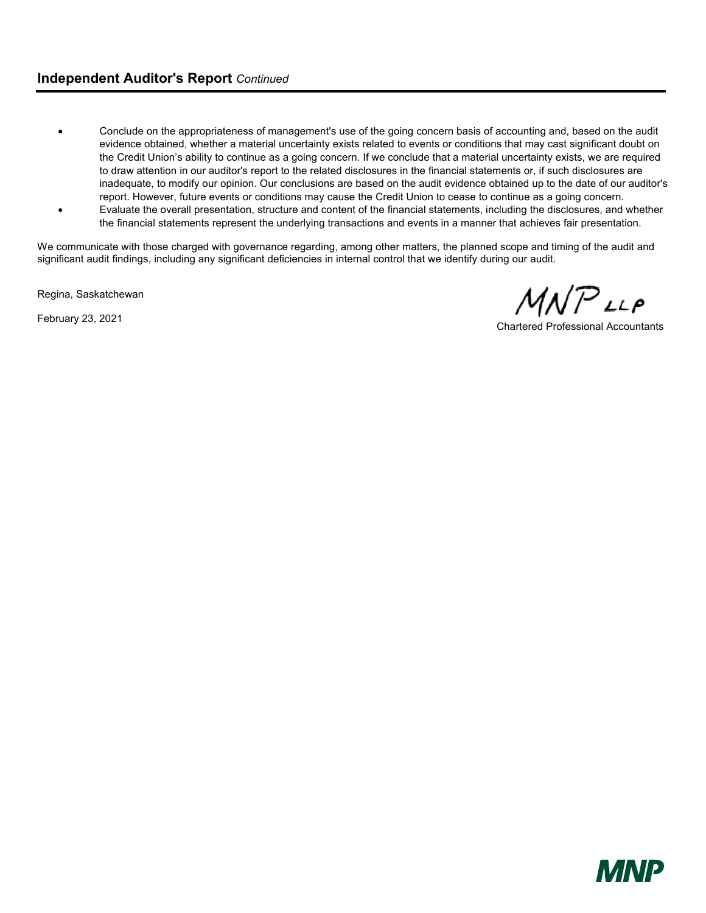## **Independent Auditor's Report** *Continued*

- Conclude on the appropriateness of management's use of the going concern basis of accounting and, based on the audit evidence obtained, whether a material uncertainty exists related to events or conditions that may cast significant doubt on the Credit Union's ability to continue as a going concern. If we conclude that a material uncertainty exists, we are required to draw attention in our auditor's report to the related disclosures in the financial statements or, if such disclosures are inadequate, to modify our opinion. Our conclusions are based on the audit evidence obtained up to the date of our auditor's report. However, future events or conditions may cause the Credit Union to cease to continue as a going concern.
- Evaluate the overall presentation, structure and content of the financial statements, including the disclosures, and whether the financial statements represent the underlying transactions and events in a manner that achieves fair presentation.

We communicate with those charged with governance regarding, among other matters, the planned scope and timing of the audit and significant audit findings, including any significant deficiencies in internal control that we identify during our audit.

Regina, Saskatchewan

February 23, 2021

 $1$ N $\mathcal{P}$ LLP

Chartered Professional Accountants

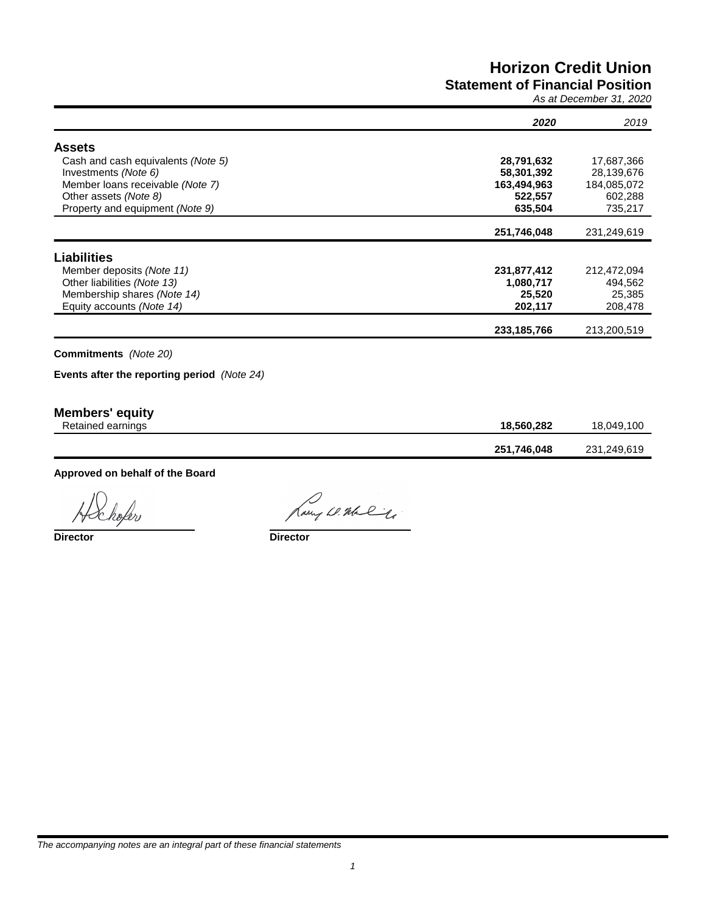## **Horizon Credit Union Statement of Financial Position**

*As at December 31, 2020*

|                                             | 2020          | 2019        |
|---------------------------------------------|---------------|-------------|
| <b>Assets</b>                               |               |             |
| Cash and cash equivalents (Note 5)          | 28,791,632    | 17,687,366  |
| Investments (Note 6)                        | 58,301,392    | 28,139,676  |
| Member Ioans receivable (Note 7)            | 163,494,963   | 184,085,072 |
| Other assets (Note 8)                       | 522,557       | 602,288     |
| Property and equipment (Note 9)             | 635,504       | 735,217     |
|                                             | 251,746,048   | 231,249,619 |
| <b>Liabilities</b>                          |               |             |
| Member deposits (Note 11)                   | 231,877,412   | 212,472,094 |
| Other liabilities (Note 13)                 | 1,080,717     | 494,562     |
| Membership shares (Note 14)                 | 25,520        | 25,385      |
| Equity accounts (Note 14)                   | 202,117       | 208,478     |
|                                             | 233, 185, 766 | 213,200,519 |
| <b>Commitments</b> (Note 20)                |               |             |
| Events after the reporting period (Note 24) |               |             |

## **Members' equity**

| .<br>Retained earnings | 18.560.282  | 18.049.100  |
|------------------------|-------------|-------------|
|                        | 251,746,048 | 231,249,619 |

**Approved on behalf of the Board**

hofer

Rary W. Malle

**Director Director**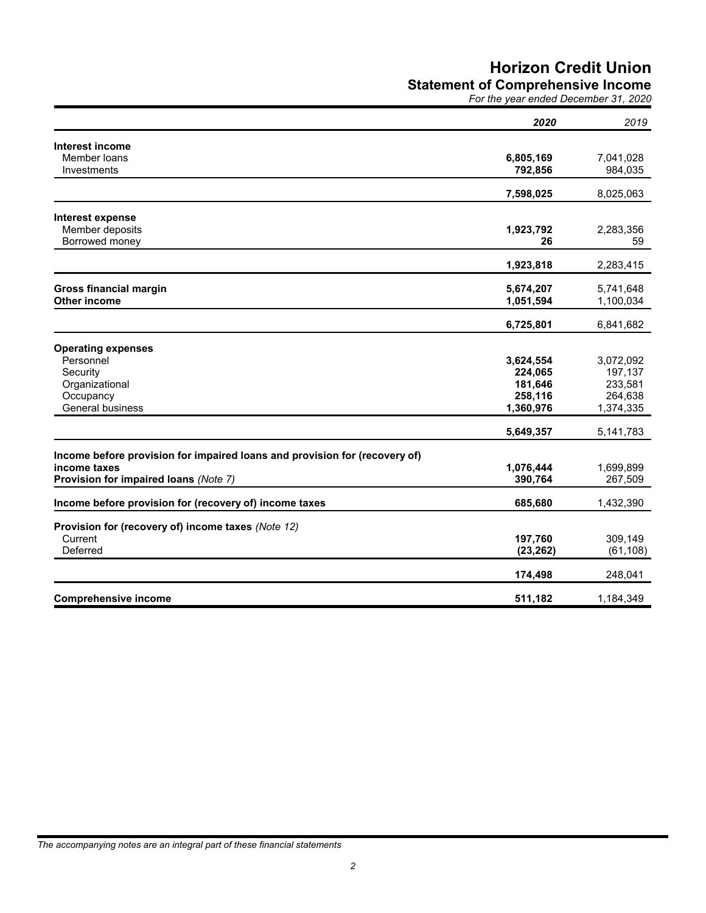# **Horizon Credit Union**

**Statement of Comprehensive Income**

|  | For the year ended December 31, 2020 |  |
|--|--------------------------------------|--|
|  |                                      |  |

|                                                                            | 2020               | 2019               |
|----------------------------------------------------------------------------|--------------------|--------------------|
| Interest income                                                            |                    |                    |
| Member loans                                                               | 6,805,169          | 7,041,028          |
| Investments                                                                | 792,856            | 984,035            |
|                                                                            | 7,598,025          | 8,025,063          |
| Interest expense                                                           |                    |                    |
| Member deposits                                                            | 1,923,792          | 2,283,356          |
| Borrowed money                                                             | 26                 | 59                 |
|                                                                            | 1,923,818          | 2,283,415          |
| <b>Gross financial margin</b>                                              | 5,674,207          | 5,741,648          |
| <b>Other income</b>                                                        | 1,051,594          | 1,100,034          |
|                                                                            | 6,725,801          | 6,841,682          |
|                                                                            |                    |                    |
| <b>Operating expenses</b>                                                  |                    |                    |
| Personnel                                                                  | 3,624,554          | 3,072,092          |
| Security<br>Organizational                                                 | 224,065<br>181,646 | 197,137<br>233,581 |
| Occupancy                                                                  | 258,116            | 264,638            |
| <b>General business</b>                                                    | 1,360,976          | 1,374,335          |
|                                                                            | 5,649,357          | 5,141,783          |
| Income before provision for impaired loans and provision for (recovery of) |                    |                    |
| income taxes                                                               | 1,076,444          | 1,699,899          |
| Provision for impaired loans (Note 7)                                      | 390,764            | 267,509            |
| Income before provision for (recovery of) income taxes                     | 685,680            | 1,432,390          |
|                                                                            |                    |                    |
| Provision for (recovery of) income taxes (Note 12)<br>Current              | 197,760            | 309,149            |
| Deferred                                                                   | (23, 262)          | (61, 108)          |
|                                                                            |                    |                    |
|                                                                            | 174,498            | 248,041            |
| <b>Comprehensive income</b>                                                | 511,182            | 1,184,349          |

*The accompanying notes are an integral part of these financial statements*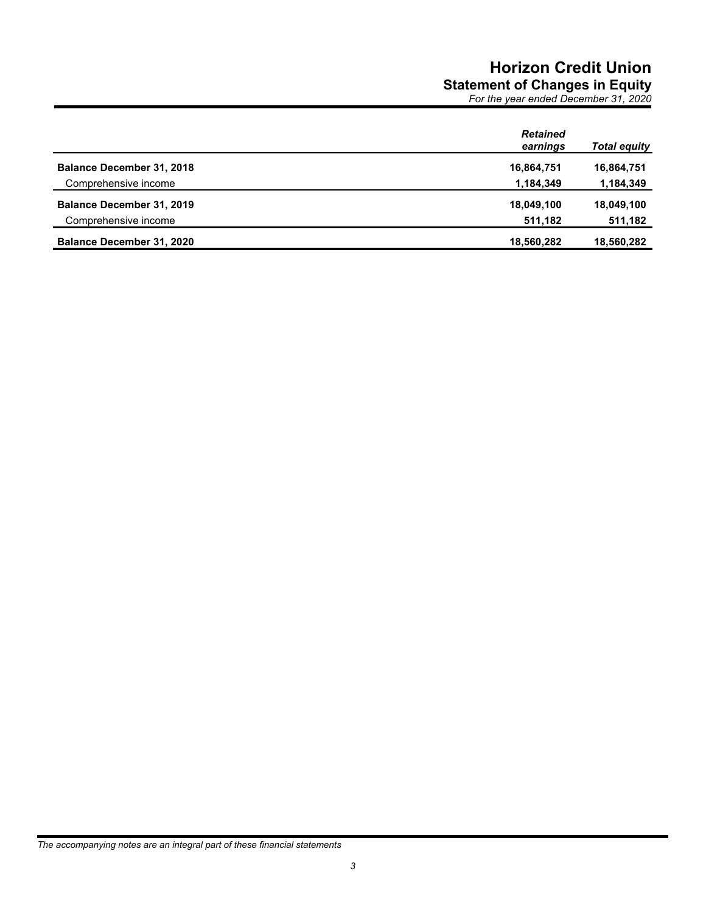# **Horizon Credit Union Statement of Changes in Equity**

*For the year ended December 31, 2020*

|                                  | <b>Retained</b><br>earnings | <b>Total equity</b> |
|----------------------------------|-----------------------------|---------------------|
| <b>Balance December 31, 2018</b> | 16,864,751                  | 16,864,751          |
| Comprehensive income             | 1,184,349                   | 1,184,349           |
| <b>Balance December 31, 2019</b> | 18,049,100                  | 18,049,100          |
| Comprehensive income             | 511,182                     | 511,182             |
| <b>Balance December 31, 2020</b> | 18,560,282                  | 18,560,282          |

*The accompanying notes are an integral part of these financial statements*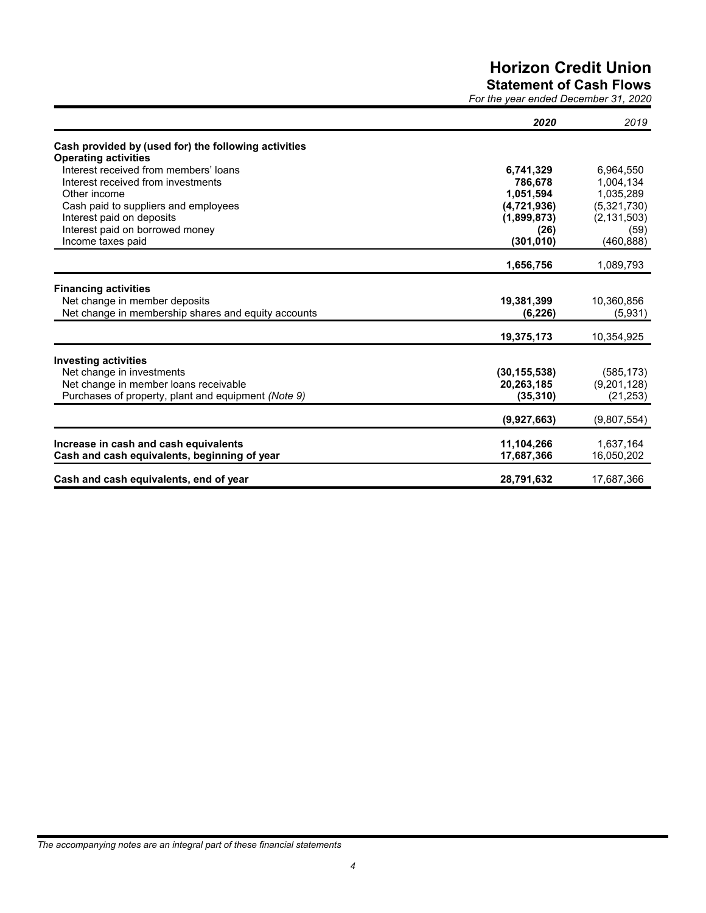# **Horizon Credit Union**

**Statement of Cash Flows**

*For the year ended December 31, 2020*

|                                                      | 2020           | 2019          |
|------------------------------------------------------|----------------|---------------|
| Cash provided by (used for) the following activities |                |               |
| <b>Operating activities</b>                          |                |               |
| Interest received from members' loans                | 6,741,329      | 6,964,550     |
| Interest received from investments                   | 786.678        | 1,004,134     |
| Other income                                         | 1.051.594      | 1.035.289     |
| Cash paid to suppliers and employees                 | (4, 721, 936)  | (5,321,730)   |
| Interest paid on deposits                            | (1,899,873)    | (2, 131, 503) |
| Interest paid on borrowed money                      | (26)           | (59)          |
| Income taxes paid                                    | (301, 010)     | (460, 888)    |
|                                                      | 1,656,756      | 1,089,793     |
| <b>Financing activities</b>                          |                |               |
| Net change in member deposits                        | 19,381,399     | 10,360,856    |
| Net change in membership shares and equity accounts  | (6, 226)       | (5,931)       |
|                                                      | 19,375,173     | 10,354,925    |
| <b>Investing activities</b>                          |                |               |
| Net change in investments                            | (30, 155, 538) | (585, 173)    |
| Net change in member loans receivable                | 20,263,185     | (9,201,128)   |
| Purchases of property, plant and equipment (Note 9)  | (35, 310)      | (21, 253)     |
|                                                      | (9,927,663)    | (9,807,554)   |
|                                                      |                |               |
| Increase in cash and cash equivalents                | 11,104,266     | 1,637,164     |
| Cash and cash equivalents, beginning of year         | 17,687,366     | 16,050,202    |
| Cash and cash equivalents, end of year               | 28,791,632     | 17,687,366    |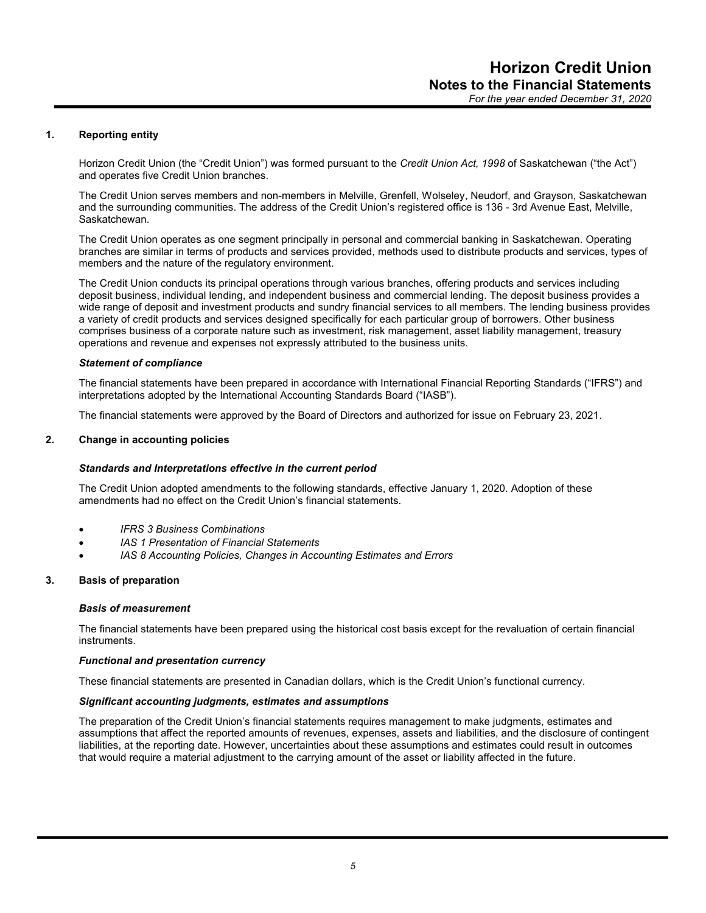## **1. Reporting entity**

Horizon Credit Union (the "Credit Union") was formed pursuant to the *Credit Union Act, 1998* of Saskatchewan ("the Act") and operates five Credit Union branches.

The Credit Union serves members and non-members in Melville, Grenfell, Wolseley, Neudorf, and Grayson, Saskatchewan and the surrounding communities. The address of the Credit Union's registered office is 136 - 3rd Avenue East, Melville, Saskatchewan.

The Credit Union operates as one segment principally in personal and commercial banking in Saskatchewan. Operating branches are similar in terms of products and services provided, methods used to distribute products and services, types of members and the nature of the regulatory environment.

The Credit Union conducts its principal operations through various branches, offering products and services including deposit business, individual lending, and independent business and commercial lending. The deposit business provides a wide range of deposit and investment products and sundry financial services to all members. The lending business provides a variety of credit products and services designed specifically for each particular group of borrowers. Other business comprises business of a corporate nature such as investment, risk management, asset liability management, treasury operations and revenue and expenses not expressly attributed to the business units.

#### *Statement of compliance*

The financial statements have been prepared in accordance with International Financial Reporting Standards ("IFRS") and interpretations adopted by the International Accounting Standards Board ("IASB").

The financial statements were approved by the Board of Directors and authorized for issue on February 23, 2021.

## **2. Change in accounting policies**

## *Standards and Interpretations effective in the current period*

The Credit Union adopted amendments to the following standards, effective January 1, 2020. Adoption of these amendments had no effect on the Credit Union's financial statements.

- *IFRS 3 Business Combinations*
- *IAS 1 Presentation of Financial Statements*
- *IAS 8 Accounting Policies, Changes in Accounting Estimates and Errors*

## **3. Basis of preparation**

#### *Basis of measurement*

The financial statements have been prepared using the historical cost basis except for the revaluation of certain financial instruments.

#### *Functional and presentation currency*

These financial statements are presented in Canadian dollars, which is the Credit Union's functional currency.

#### *Significant accounting judgments, estimates and assumptions*

The preparation of the Credit Union's financial statements requires management to make judgments, estimates and assumptions that affect the reported amounts of revenues, expenses, assets and liabilities, and the disclosure of contingent liabilities, at the reporting date. However, uncertainties about these assumptions and estimates could result in outcomes that would require a material adjustment to the carrying amount of the asset or liability affected in the future.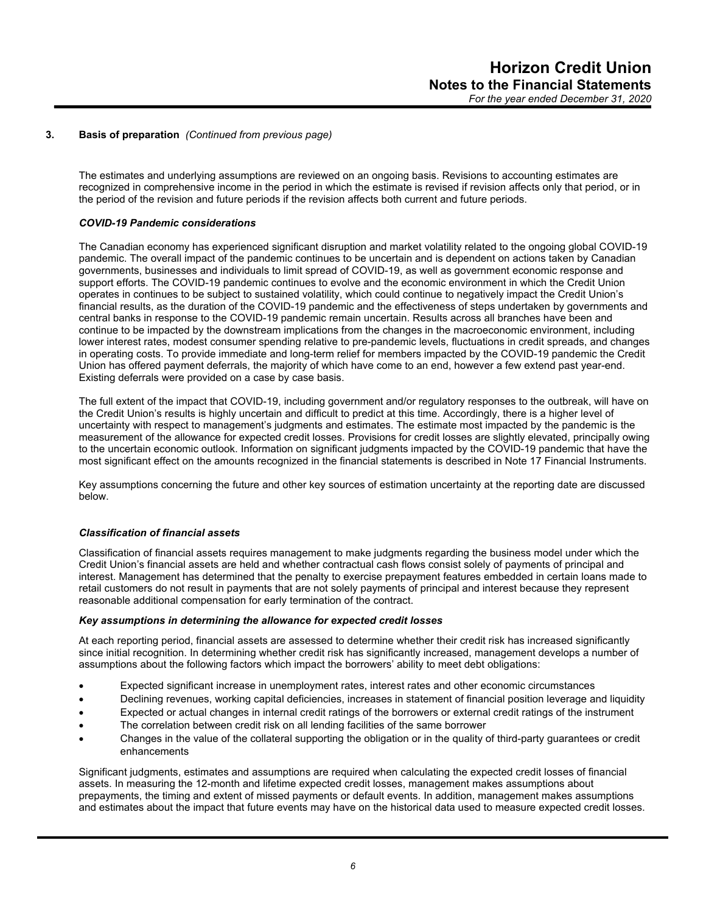## **3. Basis of preparation** *(Continued from previous page)*

The estimates and underlying assumptions are reviewed on an ongoing basis. Revisions to accounting estimates are recognized in comprehensive income in the period in which the estimate is revised if revision affects only that period, or in the period of the revision and future periods if the revision affects both current and future periods.

## *COVID-19 Pandemic considerations*

The Canadian economy has experienced significant disruption and market volatility related to the ongoing global COVID-19 pandemic. The overall impact of the pandemic continues to be uncertain and is dependent on actions taken by Canadian governments, businesses and individuals to limit spread of COVID-19, as well as government economic response and support efforts. The COVID-19 pandemic continues to evolve and the economic environment in which the Credit Union operates in continues to be subject to sustained volatility, which could continue to negatively impact the Credit Union's financial results, as the duration of the COVID-19 pandemic and the effectiveness of steps undertaken by governments and central banks in response to the COVID-19 pandemic remain uncertain. Results across all branches have been and continue to be impacted by the downstream implications from the changes in the macroeconomic environment, including lower interest rates, modest consumer spending relative to pre-pandemic levels, fluctuations in credit spreads, and changes in operating costs. To provide immediate and long-term relief for members impacted by the COVID-19 pandemic the Credit Union has offered payment deferrals, the majority of which have come to an end, however a few extend past year-end. Existing deferrals were provided on a case by case basis.

The full extent of the impact that COVID-19, including government and/or regulatory responses to the outbreak, will have on the Credit Union's results is highly uncertain and difficult to predict at this time. Accordingly, there is a higher level of uncertainty with respect to management's judgments and estimates. The estimate most impacted by the pandemic is the measurement of the allowance for expected credit losses. Provisions for credit losses are slightly elevated, principally owing to the uncertain economic outlook. Information on significant judgments impacted by the COVID-19 pandemic that have the most significant effect on the amounts recognized in the financial statements is described in Note 17 Financial Instruments.

Key assumptions concerning the future and other key sources of estimation uncertainty at the reporting date are discussed below.

## *Classification of financial assets*

Classification of financial assets requires management to make judgments regarding the business model under which the Credit Union's financial assets are held and whether contractual cash flows consist solely of payments of principal and interest. Management has determined that the penalty to exercise prepayment features embedded in certain loans made to retail customers do not result in payments that are not solely payments of principal and interest because they represent reasonable additional compensation for early termination of the contract.

## *Key assumptions in determining the allowance for expected credit losses*

At each reporting period, financial assets are assessed to determine whether their credit risk has increased significantly since initial recognition. In determining whether credit risk has significantly increased, management develops a number of assumptions about the following factors which impact the borrowers' ability to meet debt obligations:

- Expected significant increase in unemployment rates, interest rates and other economic circumstances
- Declining revenues, working capital deficiencies, increases in statement of financial position leverage and liquidity
- Expected or actual changes in internal credit ratings of the borrowers or external credit ratings of the instrument
- The correlation between credit risk on all lending facilities of the same borrower
- Changes in the value of the collateral supporting the obligation or in the quality of third-party guarantees or credit enhancements

Significant judgments, estimates and assumptions are required when calculating the expected credit losses of financial assets. In measuring the 12-month and lifetime expected credit losses, management makes assumptions about prepayments, the timing and extent of missed payments or default events. In addition, management makes assumptions and estimates about the impact that future events may have on the historical data used to measure expected credit losses.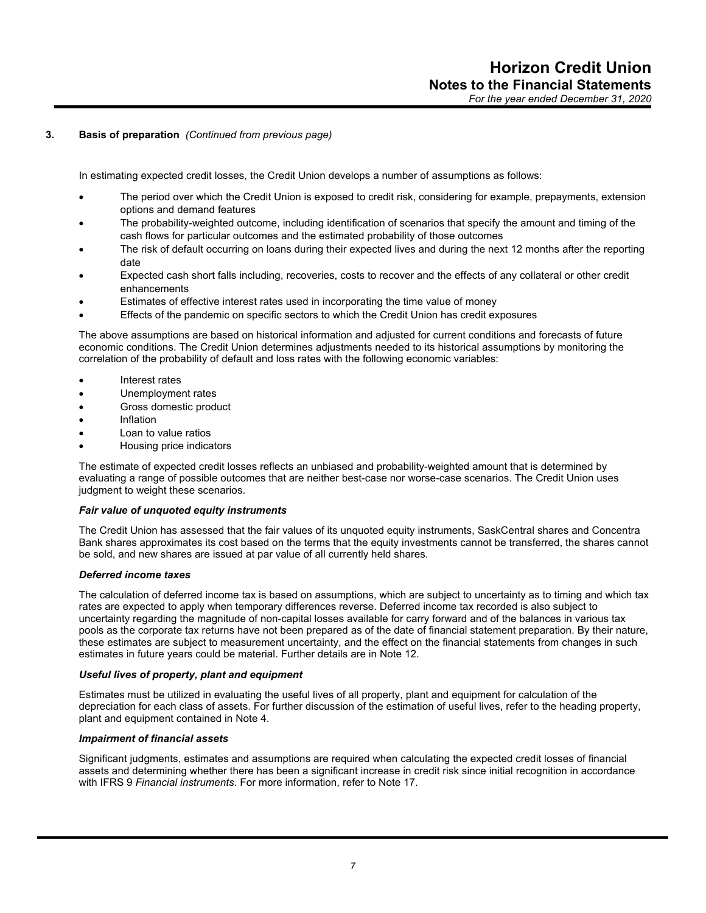## **3. Basis of preparation** *(Continued from previous page)*

In estimating expected credit losses, the Credit Union develops a number of assumptions as follows:

- The period over which the Credit Union is exposed to credit risk, considering for example, prepayments, extension options and demand features
- The probability-weighted outcome, including identification of scenarios that specify the amount and timing of the cash flows for particular outcomes and the estimated probability of those outcomes
- The risk of default occurring on loans during their expected lives and during the next 12 months after the reporting date
- Expected cash short falls including, recoveries, costs to recover and the effects of any collateral or other credit enhancements
- Estimates of effective interest rates used in incorporating the time value of money
- Effects of the pandemic on specific sectors to which the Credit Union has credit exposures

The above assumptions are based on historical information and adjusted for current conditions and forecasts of future economic conditions. The Credit Union determines adjustments needed to its historical assumptions by monitoring the correlation of the probability of default and loss rates with the following economic variables:

- Interest rates
- Unemployment rates
- Gross domestic product
- Inflation
- Loan to value ratios
- Housing price indicators

The estimate of expected credit losses reflects an unbiased and probability-weighted amount that is determined by evaluating a range of possible outcomes that are neither best-case nor worse-case scenarios. The Credit Union uses judgment to weight these scenarios.

## *Fair value of unquoted equity instruments*

The Credit Union has assessed that the fair values of its unquoted equity instruments, SaskCentral shares and Concentra Bank shares approximates its cost based on the terms that the equity investments cannot be transferred, the shares cannot be sold, and new shares are issued at par value of all currently held shares.

## *Deferred income taxes*

The calculation of deferred income tax is based on assumptions, which are subject to uncertainty as to timing and which tax rates are expected to apply when temporary differences reverse. Deferred income tax recorded is also subject to uncertainty regarding the magnitude of non-capital losses available for carry forward and of the balances in various tax pools as the corporate tax returns have not been prepared as of the date of financial statement preparation. By their nature, these estimates are subject to measurement uncertainty, and the effect on the financial statements from changes in such estimates in future years could be material. Further details are in Note 12.

## *Useful lives of property, plant and equipment*

Estimates must be utilized in evaluating the useful lives of all property, plant and equipment for calculation of the depreciation for each class of assets. For further discussion of the estimation of useful lives, refer to the heading property, plant and equipment contained in Note 4.

## *Impairment of financial assets*

Significant judgments, estimates and assumptions are required when calculating the expected credit losses of financial assets and determining whether there has been a significant increase in credit risk since initial recognition in accordance with IFRS 9 *Financial instruments*. For more information, refer to Note 17.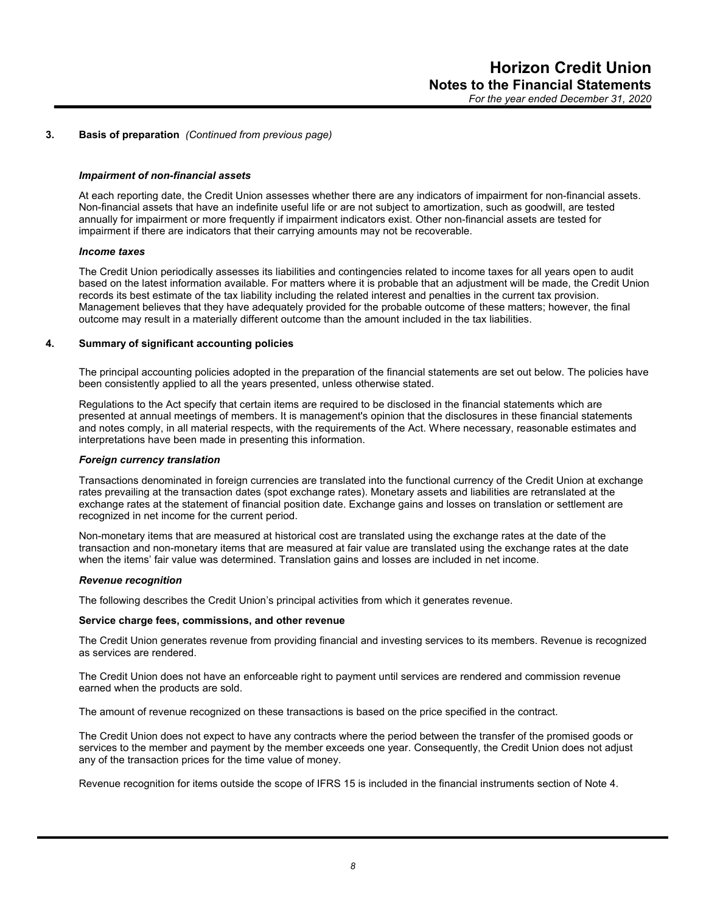#### **3. Basis of preparation** *(Continued from previous page)*

#### *Impairment of non-financial assets*

At each reporting date, the Credit Union assesses whether there are any indicators of impairment for non-financial assets. Non-financial assets that have an indefinite useful life or are not subject to amortization, such as goodwill, are tested annually for impairment or more frequently if impairment indicators exist. Other non-financial assets are tested for impairment if there are indicators that their carrying amounts may not be recoverable.

#### *Income taxes*

The Credit Union periodically assesses its liabilities and contingencies related to income taxes for all years open to audit based on the latest information available. For matters where it is probable that an adjustment will be made, the Credit Union records its best estimate of the tax liability including the related interest and penalties in the current tax provision. Management believes that they have adequately provided for the probable outcome of these matters; however, the final outcome may result in a materially different outcome than the amount included in the tax liabilities.

#### **4. Summary of significant accounting policies**

The principal accounting policies adopted in the preparation of the financial statements are set out below. The policies have been consistently applied to all the years presented, unless otherwise stated.

Regulations to the Act specify that certain items are required to be disclosed in the financial statements which are presented at annual meetings of members. It is management's opinion that the disclosures in these financial statements and notes comply, in all material respects, with the requirements of the Act. Where necessary, reasonable estimates and interpretations have been made in presenting this information.

#### *Foreign currency translation*

Transactions denominated in foreign currencies are translated into the functional currency of the Credit Union at exchange rates prevailing at the transaction dates (spot exchange rates). Monetary assets and liabilities are retranslated at the exchange rates at the statement of financial position date. Exchange gains and losses on translation or settlement are recognized in net income for the current period.

Non-monetary items that are measured at historical cost are translated using the exchange rates at the date of the transaction and non-monetary items that are measured at fair value are translated using the exchange rates at the date when the items' fair value was determined. Translation gains and losses are included in net income.

#### *Revenue recognition*

The following describes the Credit Union's principal activities from which it generates revenue.

#### **Service charge fees, commissions, and other revenue**

The Credit Union generates revenue from providing financial and investing services to its members. Revenue is recognized as services are rendered.

The Credit Union does not have an enforceable right to payment until services are rendered and commission revenue earned when the products are sold.

The amount of revenue recognized on these transactions is based on the price specified in the contract.

The Credit Union does not expect to have any contracts where the period between the transfer of the promised goods or services to the member and payment by the member exceeds one year. Consequently, the Credit Union does not adjust any of the transaction prices for the time value of money.

Revenue recognition for items outside the scope of IFRS 15 is included in the financial instruments section of Note 4.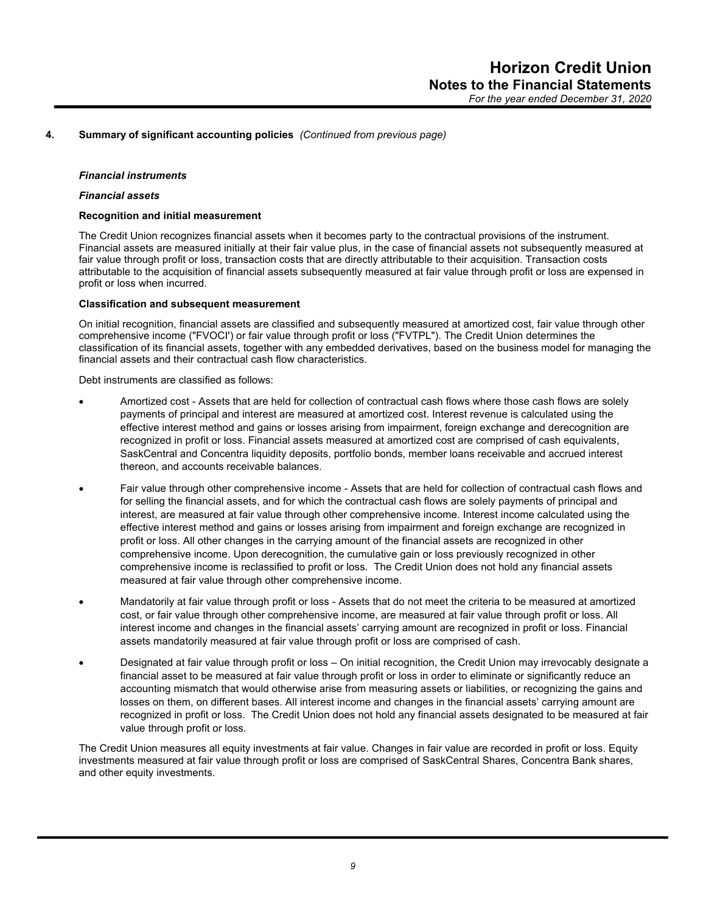#### *Financial instruments*

#### *Financial assets*

#### **Recognition and initial measurement**

The Credit Union recognizes financial assets when it becomes party to the contractual provisions of the instrument. Financial assets are measured initially at their fair value plus, in the case of financial assets not subsequently measured at fair value through profit or loss, transaction costs that are directly attributable to their acquisition. Transaction costs attributable to the acquisition of financial assets subsequently measured at fair value through profit or loss are expensed in profit or loss when incurred.

#### **Classification and subsequent measurement**

On initial recognition, financial assets are classified and subsequently measured at amortized cost, fair value through other comprehensive income ("FVOCI') or fair value through profit or loss ("FVTPL"). The Credit Union determines the classification of its financial assets, together with any embedded derivatives, based on the business model for managing the financial assets and their contractual cash flow characteristics.

Debt instruments are classified as follows:

- Amortized cost Assets that are held for collection of contractual cash flows where those cash flows are solely payments of principal and interest are measured at amortized cost. Interest revenue is calculated using the effective interest method and gains or losses arising from impairment, foreign exchange and derecognition are recognized in profit or loss. Financial assets measured at amortized cost are comprised of cash equivalents, SaskCentral and Concentra liquidity deposits, portfolio bonds, member loans receivable and accrued interest thereon, and accounts receivable balances.
- Fair value through other comprehensive income Assets that are held for collection of contractual cash flows and for selling the financial assets, and for which the contractual cash flows are solely payments of principal and interest, are measured at fair value through other comprehensive income. Interest income calculated using the effective interest method and gains or losses arising from impairment and foreign exchange are recognized in profit or loss. All other changes in the carrying amount of the financial assets are recognized in other comprehensive income. Upon derecognition, the cumulative gain or loss previously recognized in other comprehensive income is reclassified to profit or loss. The Credit Union does not hold any financial assets measured at fair value through other comprehensive income.
- Mandatorily at fair value through profit or loss Assets that do not meet the criteria to be measured at amortized cost, or fair value through other comprehensive income, are measured at fair value through profit or loss. All interest income and changes in the financial assets' carrying amount are recognized in profit or loss. Financial assets mandatorily measured at fair value through profit or loss are comprised of cash.
- Designated at fair value through profit or loss On initial recognition, the Credit Union may irrevocably designate a financial asset to be measured at fair value through profit or loss in order to eliminate or significantly reduce an accounting mismatch that would otherwise arise from measuring assets or liabilities, or recognizing the gains and losses on them, on different bases. All interest income and changes in the financial assets' carrying amount are recognized in profit or loss. The Credit Union does not hold any financial assets designated to be measured at fair value through profit or loss.

The Credit Union measures all equity investments at fair value. Changes in fair value are recorded in profit or loss. Equity investments measured at fair value through profit or loss are comprised of SaskCentral Shares, Concentra Bank shares, and other equity investments.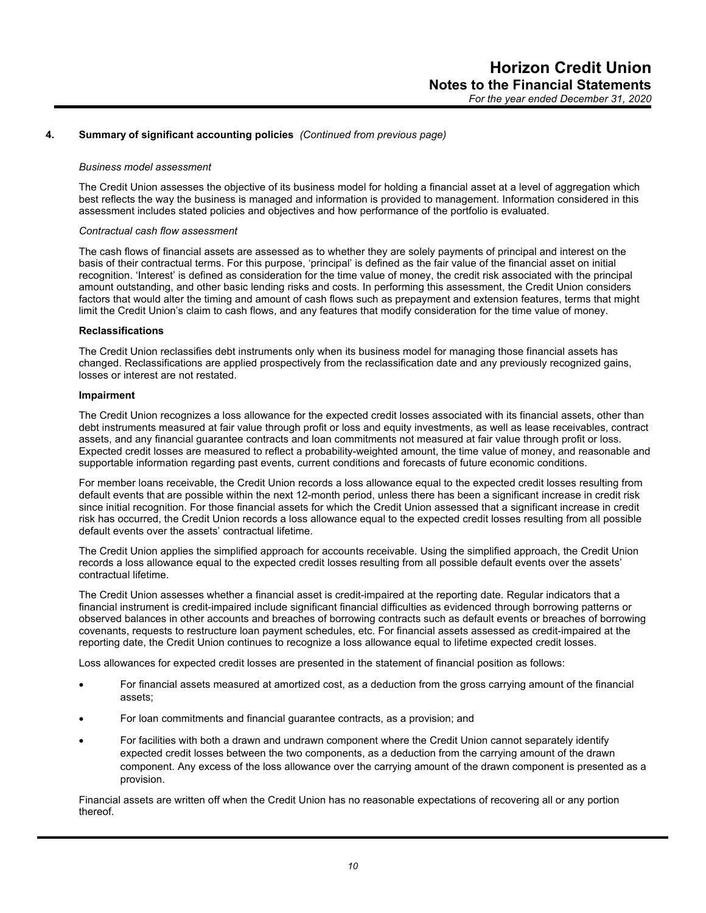#### *Business model assessment*

The Credit Union assesses the objective of its business model for holding a financial asset at a level of aggregation which best reflects the way the business is managed and information is provided to management. Information considered in this assessment includes stated policies and objectives and how performance of the portfolio is evaluated.

#### *Contractual cash flow assessment*

The cash flows of financial assets are assessed as to whether they are solely payments of principal and interest on the basis of their contractual terms. For this purpose, 'principal' is defined as the fair value of the financial asset on initial recognition. 'Interest' is defined as consideration for the time value of money, the credit risk associated with the principal amount outstanding, and other basic lending risks and costs. In performing this assessment, the Credit Union considers factors that would alter the timing and amount of cash flows such as prepayment and extension features, terms that might limit the Credit Union's claim to cash flows, and any features that modify consideration for the time value of money.

#### **Reclassifications**

The Credit Union reclassifies debt instruments only when its business model for managing those financial assets has changed. Reclassifications are applied prospectively from the reclassification date and any previously recognized gains, losses or interest are not restated.

#### **Impairment**

The Credit Union recognizes a loss allowance for the expected credit losses associated with its financial assets, other than debt instruments measured at fair value through profit or loss and equity investments, as well as lease receivables, contract assets, and any financial guarantee contracts and loan commitments not measured at fair value through profit or loss. Expected credit losses are measured to reflect a probability-weighted amount, the time value of money, and reasonable and supportable information regarding past events, current conditions and forecasts of future economic conditions.

For member loans receivable, the Credit Union records a loss allowance equal to the expected credit losses resulting from default events that are possible within the next 12-month period, unless there has been a significant increase in credit risk since initial recognition. For those financial assets for which the Credit Union assessed that a significant increase in credit risk has occurred, the Credit Union records a loss allowance equal to the expected credit losses resulting from all possible default events over the assets' contractual lifetime.

The Credit Union applies the simplified approach for accounts receivable. Using the simplified approach, the Credit Union records a loss allowance equal to the expected credit losses resulting from all possible default events over the assets' contractual lifetime.

The Credit Union assesses whether a financial asset is credit-impaired at the reporting date. Regular indicators that a financial instrument is credit-impaired include significant financial difficulties as evidenced through borrowing patterns or observed balances in other accounts and breaches of borrowing contracts such as default events or breaches of borrowing covenants, requests to restructure loan payment schedules, etc. For financial assets assessed as credit-impaired at the reporting date, the Credit Union continues to recognize a loss allowance equal to lifetime expected credit losses.

Loss allowances for expected credit losses are presented in the statement of financial position as follows:

- For financial assets measured at amortized cost, as a deduction from the gross carrying amount of the financial assets;
- For loan commitments and financial guarantee contracts, as a provision; and
- For facilities with both a drawn and undrawn component where the Credit Union cannot separately identify expected credit losses between the two components, as a deduction from the carrying amount of the drawn component. Any excess of the loss allowance over the carrying amount of the drawn component is presented as a provision.

Financial assets are written off when the Credit Union has no reasonable expectations of recovering all or any portion thereof.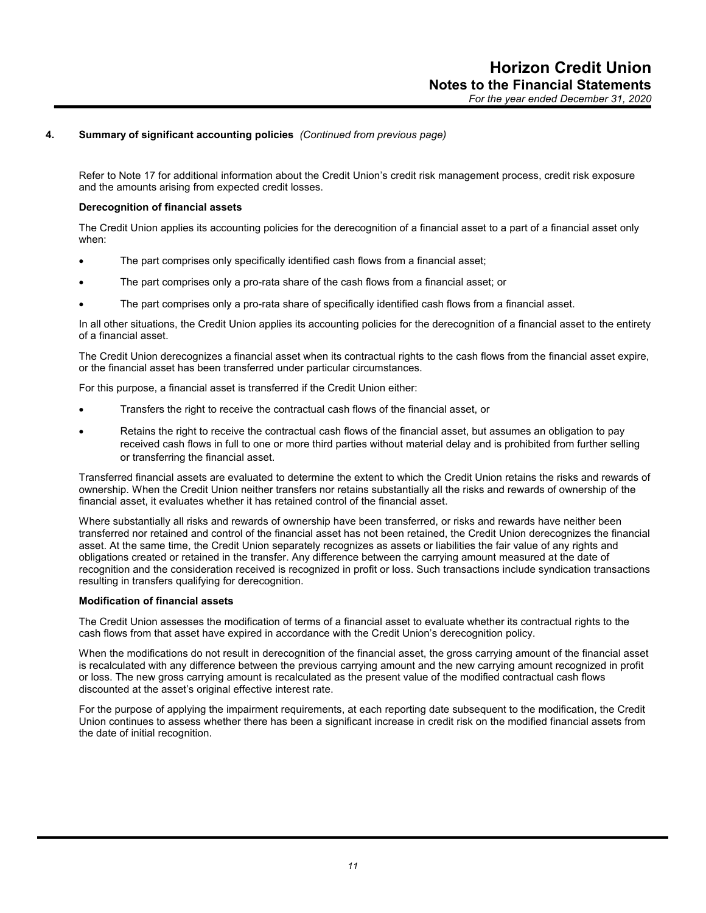Refer to Note 17 for additional information about the Credit Union's credit risk management process, credit risk exposure and the amounts arising from expected credit losses.

#### **Derecognition of financial assets**

The Credit Union applies its accounting policies for the derecognition of a financial asset to a part of a financial asset only when:

- The part comprises only specifically identified cash flows from a financial asset;
- The part comprises only a pro-rata share of the cash flows from a financial asset; or
- The part comprises only a pro-rata share of specifically identified cash flows from a financial asset.

In all other situations, the Credit Union applies its accounting policies for the derecognition of a financial asset to the entirety of a financial asset.

The Credit Union derecognizes a financial asset when its contractual rights to the cash flows from the financial asset expire, or the financial asset has been transferred under particular circumstances.

For this purpose, a financial asset is transferred if the Credit Union either:

- Transfers the right to receive the contractual cash flows of the financial asset, or
- Retains the right to receive the contractual cash flows of the financial asset, but assumes an obligation to pay received cash flows in full to one or more third parties without material delay and is prohibited from further selling or transferring the financial asset.

Transferred financial assets are evaluated to determine the extent to which the Credit Union retains the risks and rewards of ownership. When the Credit Union neither transfers nor retains substantially all the risks and rewards of ownership of the financial asset, it evaluates whether it has retained control of the financial asset.

Where substantially all risks and rewards of ownership have been transferred, or risks and rewards have neither been transferred nor retained and control of the financial asset has not been retained, the Credit Union derecognizes the financial asset. At the same time, the Credit Union separately recognizes as assets or liabilities the fair value of any rights and obligations created or retained in the transfer. Any difference between the carrying amount measured at the date of recognition and the consideration received is recognized in profit or loss. Such transactions include syndication transactions resulting in transfers qualifying for derecognition.

#### **Modification of financial assets**

The Credit Union assesses the modification of terms of a financial asset to evaluate whether its contractual rights to the cash flows from that asset have expired in accordance with the Credit Union's derecognition policy.

When the modifications do not result in derecognition of the financial asset, the gross carrying amount of the financial asset is recalculated with any difference between the previous carrying amount and the new carrying amount recognized in profit or loss. The new gross carrying amount is recalculated as the present value of the modified contractual cash flows discounted at the asset's original effective interest rate.

For the purpose of applying the impairment requirements, at each reporting date subsequent to the modification, the Credit Union continues to assess whether there has been a significant increase in credit risk on the modified financial assets from the date of initial recognition.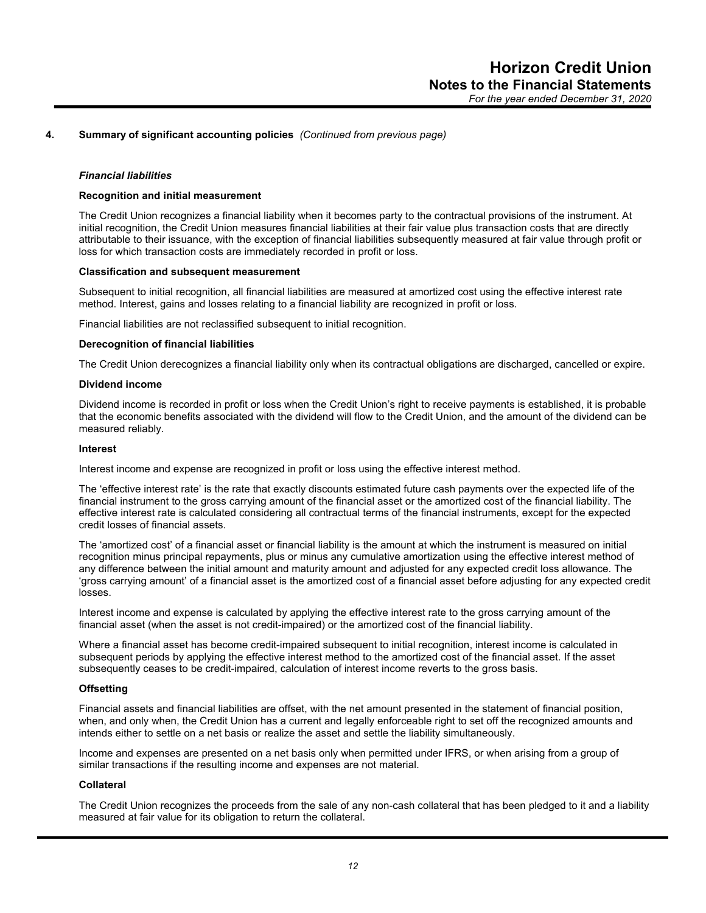#### *Financial liabilities*

#### **Recognition and initial measurement**

The Credit Union recognizes a financial liability when it becomes party to the contractual provisions of the instrument. At initial recognition, the Credit Union measures financial liabilities at their fair value plus transaction costs that are directly attributable to their issuance, with the exception of financial liabilities subsequently measured at fair value through profit or loss for which transaction costs are immediately recorded in profit or loss.

#### **Classification and subsequent measurement**

Subsequent to initial recognition, all financial liabilities are measured at amortized cost using the effective interest rate method. Interest, gains and losses relating to a financial liability are recognized in profit or loss.

Financial liabilities are not reclassified subsequent to initial recognition.

#### **Derecognition of financial liabilities**

The Credit Union derecognizes a financial liability only when its contractual obligations are discharged, cancelled or expire.

#### **Dividend income**

Dividend income is recorded in profit or loss when the Credit Union's right to receive payments is established, it is probable that the economic benefits associated with the dividend will flow to the Credit Union, and the amount of the dividend can be measured reliably.

#### **Interest**

Interest income and expense are recognized in profit or loss using the effective interest method.

The 'effective interest rate' is the rate that exactly discounts estimated future cash payments over the expected life of the financial instrument to the gross carrying amount of the financial asset or the amortized cost of the financial liability. The effective interest rate is calculated considering all contractual terms of the financial instruments, except for the expected credit losses of financial assets.

The 'amortized cost' of a financial asset or financial liability is the amount at which the instrument is measured on initial recognition minus principal repayments, plus or minus any cumulative amortization using the effective interest method of any difference between the initial amount and maturity amount and adjusted for any expected credit loss allowance. The 'gross carrying amount' of a financial asset is the amortized cost of a financial asset before adjusting for any expected credit losses.

Interest income and expense is calculated by applying the effective interest rate to the gross carrying amount of the financial asset (when the asset is not credit-impaired) or the amortized cost of the financial liability.

Where a financial asset has become credit-impaired subsequent to initial recognition, interest income is calculated in subsequent periods by applying the effective interest method to the amortized cost of the financial asset. If the asset subsequently ceases to be credit-impaired, calculation of interest income reverts to the gross basis.

#### **Offsetting**

Financial assets and financial liabilities are offset, with the net amount presented in the statement of financial position, when, and only when, the Credit Union has a current and legally enforceable right to set off the recognized amounts and intends either to settle on a net basis or realize the asset and settle the liability simultaneously.

Income and expenses are presented on a net basis only when permitted under IFRS, or when arising from a group of similar transactions if the resulting income and expenses are not material.

#### **Collateral**

The Credit Union recognizes the proceeds from the sale of any non-cash collateral that has been pledged to it and a liability measured at fair value for its obligation to return the collateral.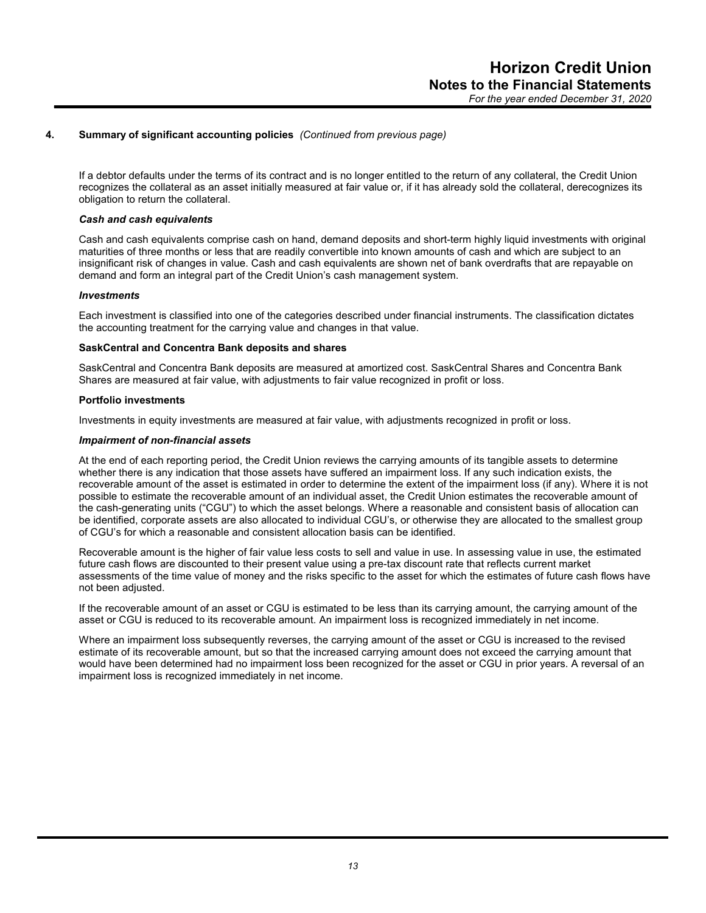If a debtor defaults under the terms of its contract and is no longer entitled to the return of any collateral, the Credit Union recognizes the collateral as an asset initially measured at fair value or, if it has already sold the collateral, derecognizes its obligation to return the collateral.

## *Cash and cash equivalents*

Cash and cash equivalents comprise cash on hand, demand deposits and short-term highly liquid investments with original maturities of three months or less that are readily convertible into known amounts of cash and which are subject to an insignificant risk of changes in value. Cash and cash equivalents are shown net of bank overdrafts that are repayable on demand and form an integral part of the Credit Union's cash management system.

#### *Investments*

Each investment is classified into one of the categories described under financial instruments. The classification dictates the accounting treatment for the carrying value and changes in that value.

#### **SaskCentral and Concentra Bank deposits and shares**

SaskCentral and Concentra Bank deposits are measured at amortized cost. SaskCentral Shares and Concentra Bank Shares are measured at fair value, with adjustments to fair value recognized in profit or loss.

#### **Portfolio investments**

Investments in equity investments are measured at fair value, with adjustments recognized in profit or loss.

#### *Impairment of non-financial assets*

At the end of each reporting period, the Credit Union reviews the carrying amounts of its tangible assets to determine whether there is any indication that those assets have suffered an impairment loss. If any such indication exists, the recoverable amount of the asset is estimated in order to determine the extent of the impairment loss (if any). Where it is not possible to estimate the recoverable amount of an individual asset, the Credit Union estimates the recoverable amount of the cash-generating units ("CGU") to which the asset belongs. Where a reasonable and consistent basis of allocation can be identified, corporate assets are also allocated to individual CGU's, or otherwise they are allocated to the smallest group of CGU's for which a reasonable and consistent allocation basis can be identified.

Recoverable amount is the higher of fair value less costs to sell and value in use. In assessing value in use, the estimated future cash flows are discounted to their present value using a pre-tax discount rate that reflects current market assessments of the time value of money and the risks specific to the asset for which the estimates of future cash flows have not been adjusted.

If the recoverable amount of an asset or CGU is estimated to be less than its carrying amount, the carrying amount of the asset or CGU is reduced to its recoverable amount. An impairment loss is recognized immediately in net income.

Where an impairment loss subsequently reverses, the carrying amount of the asset or CGU is increased to the revised estimate of its recoverable amount, but so that the increased carrying amount does not exceed the carrying amount that would have been determined had no impairment loss been recognized for the asset or CGU in prior years. A reversal of an impairment loss is recognized immediately in net income.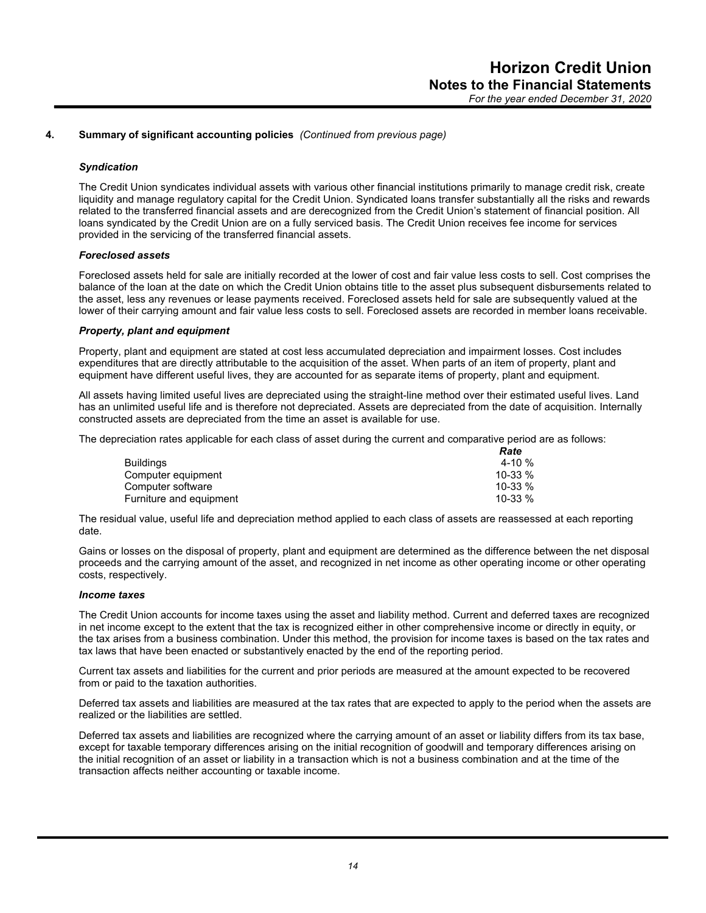## *Syndication*

The Credit Union syndicates individual assets with various other financial institutions primarily to manage credit risk, create liquidity and manage regulatory capital for the Credit Union. Syndicated loans transfer substantially all the risks and rewards related to the transferred financial assets and are derecognized from the Credit Union's statement of financial position. All loans syndicated by the Credit Union are on a fully serviced basis. The Credit Union receives fee income for services provided in the servicing of the transferred financial assets.

#### *Foreclosed assets*

Foreclosed assets held for sale are initially recorded at the lower of cost and fair value less costs to sell. Cost comprises the balance of the loan at the date on which the Credit Union obtains title to the asset plus subsequent disbursements related to the asset, less any revenues or lease payments received. Foreclosed assets held for sale are subsequently valued at the lower of their carrying amount and fair value less costs to sell. Foreclosed assets are recorded in member loans receivable.

#### *Property, plant and equipment*

Property, plant and equipment are stated at cost less accumulated depreciation and impairment losses. Cost includes expenditures that are directly attributable to the acquisition of the asset. When parts of an item of property, plant and equipment have different useful lives, they are accounted for as separate items of property, plant and equipment.

All assets having limited useful lives are depreciated using the straight-line method over their estimated useful lives. Land has an unlimited useful life and is therefore not depreciated. Assets are depreciated from the date of acquisition. Internally constructed assets are depreciated from the time an asset is available for use.

The depreciation rates applicable for each class of asset during the current and comparative period are as follows:

|                         | Rate     |
|-------------------------|----------|
| <b>Buildings</b>        | 4-10 $%$ |
| Computer equipment      | 10-33 %  |
| Computer software       | 10-33 %  |
| Furniture and equipment | 10-33 %  |

The residual value, useful life and depreciation method applied to each class of assets are reassessed at each reporting date.

Gains or losses on the disposal of property, plant and equipment are determined as the difference between the net disposal proceeds and the carrying amount of the asset, and recognized in net income as other operating income or other operating costs, respectively.

#### *Income taxes*

The Credit Union accounts for income taxes using the asset and liability method. Current and deferred taxes are recognized in net income except to the extent that the tax is recognized either in other comprehensive income or directly in equity, or the tax arises from a business combination. Under this method, the provision for income taxes is based on the tax rates and tax laws that have been enacted or substantively enacted by the end of the reporting period.

Current tax assets and liabilities for the current and prior periods are measured at the amount expected to be recovered from or paid to the taxation authorities.

Deferred tax assets and liabilities are measured at the tax rates that are expected to apply to the period when the assets are realized or the liabilities are settled.

Deferred tax assets and liabilities are recognized where the carrying amount of an asset or liability differs from its tax base, except for taxable temporary differences arising on the initial recognition of goodwill and temporary differences arising on the initial recognition of an asset or liability in a transaction which is not a business combination and at the time of the transaction affects neither accounting or taxable income.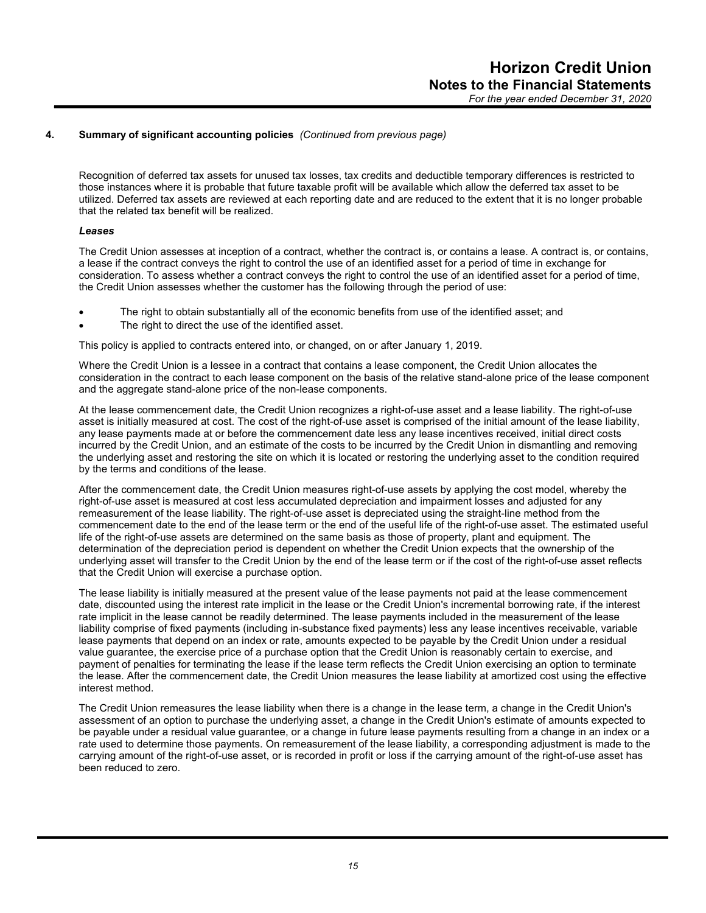Recognition of deferred tax assets for unused tax losses, tax credits and deductible temporary differences is restricted to those instances where it is probable that future taxable profit will be available which allow the deferred tax asset to be utilized. Deferred tax assets are reviewed at each reporting date and are reduced to the extent that it is no longer probable that the related tax benefit will be realized.

## *Leases*

The Credit Union assesses at inception of a contract, whether the contract is, or contains a lease. A contract is, or contains, a lease if the contract conveys the right to control the use of an identified asset for a period of time in exchange for consideration. To assess whether a contract conveys the right to control the use of an identified asset for a period of time, the Credit Union assesses whether the customer has the following through the period of use:

- The right to obtain substantially all of the economic benefits from use of the identified asset; and
- The right to direct the use of the identified asset.

This policy is applied to contracts entered into, or changed, on or after January 1, 2019.

Where the Credit Union is a lessee in a contract that contains a lease component, the Credit Union allocates the consideration in the contract to each lease component on the basis of the relative stand-alone price of the lease component and the aggregate stand-alone price of the non-lease components.

At the lease commencement date, the Credit Union recognizes a right-of-use asset and a lease liability. The right-of-use asset is initially measured at cost. The cost of the right-of-use asset is comprised of the initial amount of the lease liability, any lease payments made at or before the commencement date less any lease incentives received, initial direct costs incurred by the Credit Union, and an estimate of the costs to be incurred by the Credit Union in dismantling and removing the underlying asset and restoring the site on which it is located or restoring the underlying asset to the condition required by the terms and conditions of the lease.

After the commencement date, the Credit Union measures right-of-use assets by applying the cost model, whereby the right-of-use asset is measured at cost less accumulated depreciation and impairment losses and adjusted for any remeasurement of the lease liability. The right-of-use asset is depreciated using the straight-line method from the commencement date to the end of the lease term or the end of the useful life of the right-of-use asset. The estimated useful life of the right-of-use assets are determined on the same basis as those of property, plant and equipment. The determination of the depreciation period is dependent on whether the Credit Union expects that the ownership of the underlying asset will transfer to the Credit Union by the end of the lease term or if the cost of the right-of-use asset reflects that the Credit Union will exercise a purchase option.

The lease liability is initially measured at the present value of the lease payments not paid at the lease commencement date, discounted using the interest rate implicit in the lease or the Credit Union's incremental borrowing rate, if the interest rate implicit in the lease cannot be readily determined. The lease payments included in the measurement of the lease liability comprise of fixed payments (including in-substance fixed payments) less any lease incentives receivable, variable lease payments that depend on an index or rate, amounts expected to be payable by the Credit Union under a residual value guarantee, the exercise price of a purchase option that the Credit Union is reasonably certain to exercise, and payment of penalties for terminating the lease if the lease term reflects the Credit Union exercising an option to terminate the lease. After the commencement date, the Credit Union measures the lease liability at amortized cost using the effective interest method.

The Credit Union remeasures the lease liability when there is a change in the lease term, a change in the Credit Union's assessment of an option to purchase the underlying asset, a change in the Credit Union's estimate of amounts expected to be payable under a residual value guarantee, or a change in future lease payments resulting from a change in an index or a rate used to determine those payments. On remeasurement of the lease liability, a corresponding adjustment is made to the carrying amount of the right-of-use asset, or is recorded in profit or loss if the carrying amount of the right-of-use asset has been reduced to zero.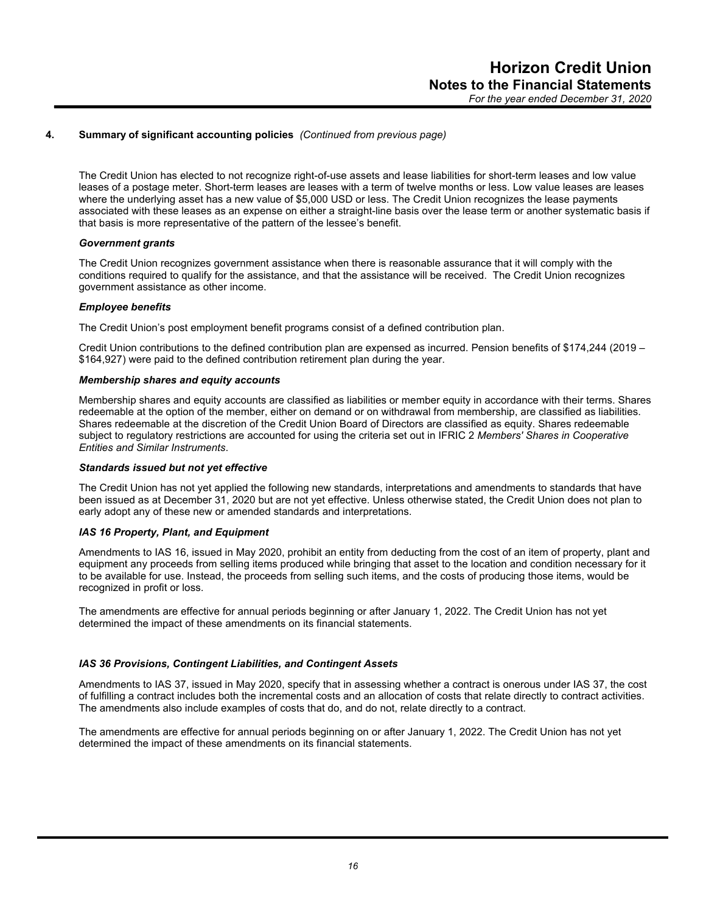The Credit Union has elected to not recognize right-of-use assets and lease liabilities for short-term leases and low value leases of a postage meter. Short-term leases are leases with a term of twelve months or less. Low value leases are leases where the underlying asset has a new value of \$5,000 USD or less. The Credit Union recognizes the lease payments associated with these leases as an expense on either a straight-line basis over the lease term or another systematic basis if that basis is more representative of the pattern of the lessee's benefit.

## *Government grants*

The Credit Union recognizes government assistance when there is reasonable assurance that it will comply with the conditions required to qualify for the assistance, and that the assistance will be received. The Credit Union recognizes government assistance as other income.

## *Employee benefits*

The Credit Union's post employment benefit programs consist of a defined contribution plan.

Credit Union contributions to the defined contribution plan are expensed as incurred. Pension benefits of \$174,244 (2019 – \$164,927) were paid to the defined contribution retirement plan during the year.

#### *Membership shares and equity accounts*

Membership shares and equity accounts are classified as liabilities or member equity in accordance with their terms. Shares redeemable at the option of the member, either on demand or on withdrawal from membership, are classified as liabilities. Shares redeemable at the discretion of the Credit Union Board of Directors are classified as equity. Shares redeemable subject to regulatory restrictions are accounted for using the criteria set out in IFRIC 2 *Members' Shares in Cooperative Entities and Similar Instruments*.

#### *Standards issued but not yet effective*

The Credit Union has not yet applied the following new standards, interpretations and amendments to standards that have been issued as at December 31, 2020 but are not yet effective. Unless otherwise stated, the Credit Union does not plan to early adopt any of these new or amended standards and interpretations.

#### *IAS 16 Property, Plant, and Equipment*

Amendments to IAS 16, issued in May 2020, prohibit an entity from deducting from the cost of an item of property, plant and equipment any proceeds from selling items produced while bringing that asset to the location and condition necessary for it to be available for use. Instead, the proceeds from selling such items, and the costs of producing those items, would be recognized in profit or loss.

The amendments are effective for annual periods beginning or after January 1, 2022. The Credit Union has not yet determined the impact of these amendments on its financial statements.

## *IAS 36 Provisions, Contingent Liabilities, and Contingent Assets*

Amendments to IAS 37, issued in May 2020, specify that in assessing whether a contract is onerous under IAS 37, the cost of fulfilling a contract includes both the incremental costs and an allocation of costs that relate directly to contract activities. The amendments also include examples of costs that do, and do not, relate directly to a contract.

The amendments are effective for annual periods beginning on or after January 1, 2022. The Credit Union has not yet determined the impact of these amendments on its financial statements.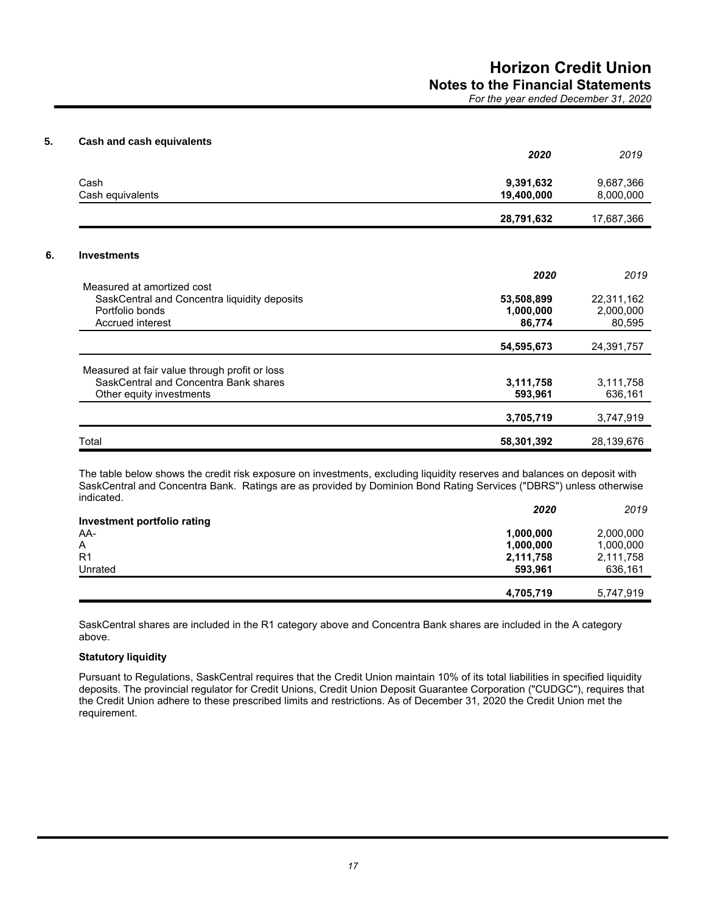*For the year ended December 31, 2020*

## **5. Cash and cash equivalents**

|                                                                                                                    | 2020                              | 2019                              |
|--------------------------------------------------------------------------------------------------------------------|-----------------------------------|-----------------------------------|
| Cash<br>Cash equivalents                                                                                           | 9,391,632<br>19,400,000           | 9,687,366<br>8,000,000            |
|                                                                                                                    | 28,791,632                        | 17,687,366                        |
| <b>Investments</b>                                                                                                 |                                   |                                   |
|                                                                                                                    | 2020                              | 2019                              |
| Measured at amortized cost<br>SaskCentral and Concentra liquidity deposits<br>Portfolio bonds<br>Accrued interest  | 53,508,899<br>1,000,000<br>86,774 | 22,311,162<br>2,000,000<br>80,595 |
|                                                                                                                    | 54,595,673                        | 24,391,757                        |
| Measured at fair value through profit or loss<br>SaskCentral and Concentra Bank shares<br>Other equity investments | 3,111,758<br>593,961              | 3,111,758<br>636,161              |
|                                                                                                                    | 3,705,719                         | 3,747,919                         |
| Total                                                                                                              | 58,301,392                        | 28,139,676                        |

The table below shows the credit risk exposure on investments, excluding liquidity reserves and balances on deposit with SaskCentral and Concentra Bank. Ratings are as provided by Dominion Bond Rating Services ("DBRS") unless otherwise indicated.

|                             | 2020      | 2019      |
|-----------------------------|-----------|-----------|
| Investment portfolio rating |           |           |
| AA-                         | 1,000,000 | 2,000,000 |
| $\overline{A}$              | 1,000,000 | 1,000,000 |
| R <sub>1</sub>              | 2,111,758 | 2,111,758 |
| Unrated                     | 593.961   | 636,161   |
|                             | 4,705,719 | 5,747,919 |

SaskCentral shares are included in the R1 category above and Concentra Bank shares are included in the A category above.

## **Statutory liquidity**

Pursuant to Regulations, SaskCentral requires that the Credit Union maintain 10% of its total liabilities in specified liquidity deposits. The provincial regulator for Credit Unions, Credit Union Deposit Guarantee Corporation ("CUDGC"), requires that the Credit Union adhere to these prescribed limits and restrictions. As of December 31, 2020 the Credit Union met the requirement.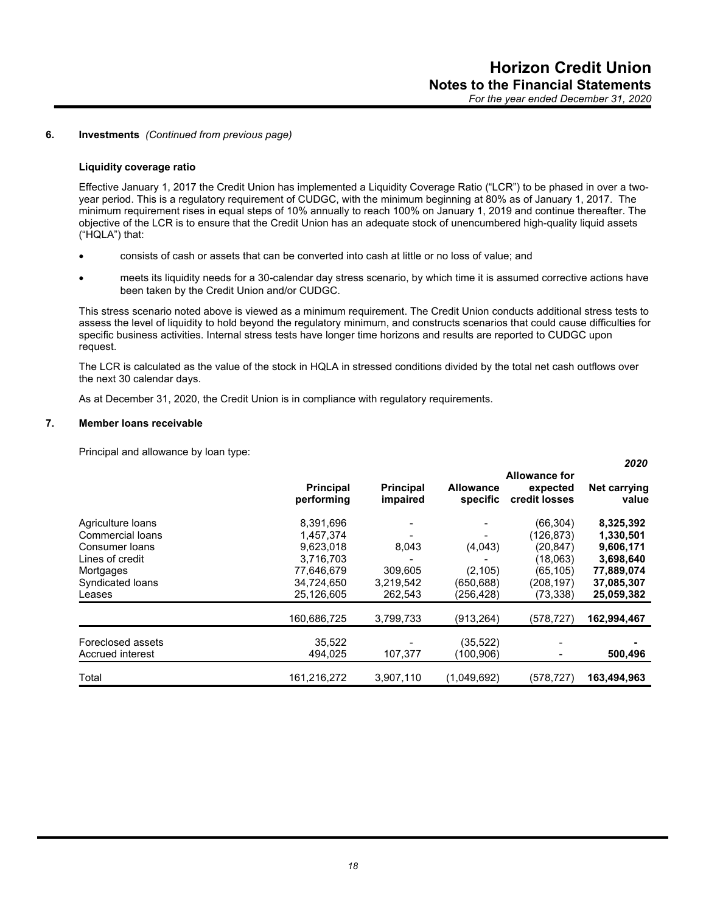*2020*

## **6. Investments** *(Continued from previous page)*

#### **Liquidity coverage ratio**

Effective January 1, 2017 the Credit Union has implemented a Liquidity Coverage Ratio ("LCR") to be phased in over a twoyear period. This is a regulatory requirement of CUDGC, with the minimum beginning at 80% as of January 1, 2017. The minimum requirement rises in equal steps of 10% annually to reach 100% on January 1, 2019 and continue thereafter. The objective of the LCR is to ensure that the Credit Union has an adequate stock of unencumbered high-quality liquid assets ("HQLA") that:

- consists of cash or assets that can be converted into cash at little or no loss of value; and
- meets its liquidity needs for a 30-calendar day stress scenario, by which time it is assumed corrective actions have been taken by the Credit Union and/or CUDGC.

This stress scenario noted above is viewed as a minimum requirement. The Credit Union conducts additional stress tests to assess the level of liquidity to hold beyond the regulatory minimum, and constructs scenarios that could cause difficulties for specific business activities. Internal stress tests have longer time horizons and results are reported to CUDGC upon request.

The LCR is calculated as the value of the stock in HQLA in stressed conditions divided by the total net cash outflows over the next 30 calendar days.

As at December 31, 2020, the Credit Union is in compliance with regulatory requirements.

#### **7. Member loans receivable**

Principal and allowance by loan type:

|                       | <b>Principal</b><br>performing | <b>Principal</b><br>impaired | <b>Allowance</b><br>specific | <b>Allowance for</b><br>expected<br>credit losses | LVLV<br>Net carrying<br>value |
|-----------------------|--------------------------------|------------------------------|------------------------------|---------------------------------------------------|-------------------------------|
| Agriculture loans     | 8,391,696                      |                              |                              | (66, 304)                                         | 8,325,392                     |
| Commercial loans      | 1,457,374                      |                              |                              | (126,873)                                         | 1,330,501                     |
| <b>Consumer loans</b> | 9,623,018                      | 8,043                        | (4,043)                      | (20, 847)                                         | 9,606,171                     |
| Lines of credit       | 3,716,703                      |                              |                              | (18,063)                                          | 3,698,640                     |
| Mortgages             | 77,646,679                     | 309,605                      | (2, 105)                     | (65, 105)                                         | 77,889,074                    |
| Syndicated loans      | 34,724,650                     | 3,219,542                    | (650, 688)                   | (208,197)                                         | 37,085,307                    |
| Leases                | 25,126,605                     | 262,543                      | (256,428)                    | (73,338)                                          | 25,059,382                    |
|                       | 160,686,725                    | 3,799,733                    | (913, 264)                   | (578,727)                                         | 162,994,467                   |
| Foreclosed assets     | 35,522                         |                              | (35, 522)                    |                                                   |                               |
| Accrued interest      | 494,025                        | 107,377                      | (100,906)                    |                                                   | 500,496                       |
| Total                 | 161,216,272                    | 3,907,110                    | (1,049,692)                  | (578,727)                                         | 163,494,963                   |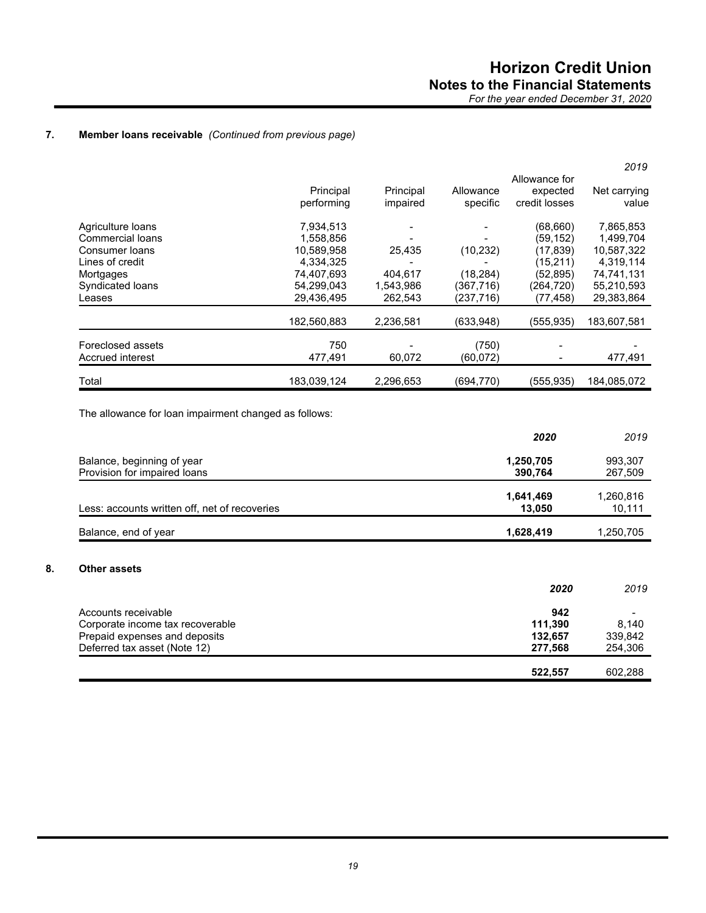## **7. Member loans receivable** *(Continued from previous page)*

|             |           |            |               | 2019         |
|-------------|-----------|------------|---------------|--------------|
|             |           |            | Allowance for |              |
| Principal   | Principal | Allowance  | expected      | Net carrying |
| performing  | impaired  | specific   | credit losses | value        |
| 7,934,513   |           |            | (68, 660)     | 7,865,853    |
| 1,558,856   |           |            | (59, 152)     | 1,499,704    |
| 10.589.958  | 25,435    | (10, 232)  | (17, 839)     | 10,587,322   |
| 4,334,325   |           |            | (15, 211)     | 4,319,114    |
| 74.407.693  | 404,617   | (18, 284)  | (52, 895)     | 74,741,131   |
| 54,299,043  | 1,543,986 | (367,716)  | (264,720)     | 55,210,593   |
| 29,436,495  | 262,543   | (237,716)  | (77, 458)     | 29,383,864   |
| 182,560,883 | 2,236,581 | (633,948)  | (555,935)     | 183,607,581  |
|             |           |            |               |              |
| 477,491     | 60,072    | (60,072)   |               | 477,491      |
| 183,039,124 | 2,296,653 | (694, 770) | (555, 935)    | 184,085,072  |
|             | 750       |            | (750)         |              |

The allowance for loan impairment changed as follows:

|                                               | 2020      | 2019      |
|-----------------------------------------------|-----------|-----------|
| Balance, beginning of year                    | 1,250,705 | 993,307   |
| Provision for impaired loans                  | 390,764   | 267,509   |
|                                               | 1,641,469 | 1,260,816 |
| Less: accounts written off, net of recoveries | 13,050    | 10,111    |
| Balance, end of year                          | 1,628,419 | 1,250,705 |
|                                               |           |           |
| Other assets                                  | 2020      | 2019      |
|                                               |           |           |
| Accounts receivable                           | 942       |           |
| Corporate income tax recoverable              | 111,390   | 8,140     |
| Prepaid expenses and deposits                 | 132,657   | 339,842   |
| Deferred tax asset (Note 12)                  | 277,568   | 254,306   |
|                                               |           |           |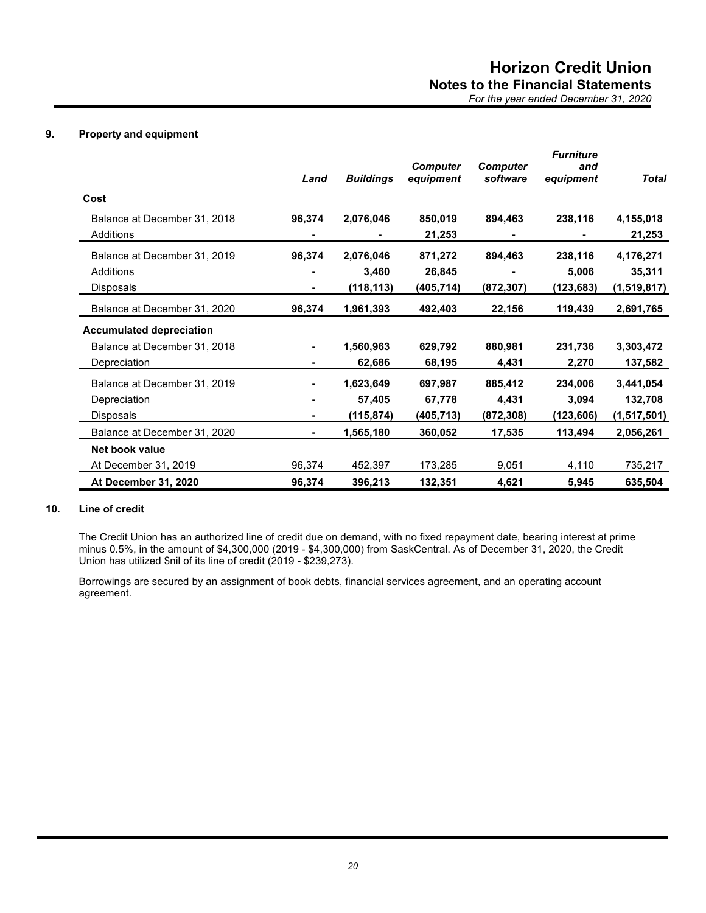## **9. Property and equipment**

|                                           | Land   | <b>Buildings</b> | <b>Computer</b><br>equipment | <b>Computer</b><br>software | <b>Furniture</b><br>and<br>equipment | <b>Total</b>        |
|-------------------------------------------|--------|------------------|------------------------------|-----------------------------|--------------------------------------|---------------------|
| Cost                                      |        |                  |                              |                             |                                      |                     |
| Balance at December 31, 2018<br>Additions | 96,374 | 2,076,046        | 850,019<br>21,253            | 894,463                     | 238,116                              | 4,155,018<br>21,253 |
| Balance at December 31, 2019              | 96,374 | 2,076,046        | 871,272                      | 894,463                     | 238,116                              | 4,176,271           |
| Additions                                 |        | 3,460            | 26,845                       |                             | 5,006                                | 35,311              |
| <b>Disposals</b>                          |        | (118, 113)       | (405,714)                    | (872, 307)                  | (123,683)                            | (1,519,817)         |
| Balance at December 31, 2020              | 96,374 | 1,961,393        | 492,403                      | 22,156                      | 119,439                              | 2,691,765           |
| <b>Accumulated depreciation</b>           |        |                  |                              |                             |                                      |                     |
| Balance at December 31, 2018              |        | 1,560,963        | 629,792                      | 880,981                     | 231,736                              | 3,303,472           |
| Depreciation                              |        | 62,686           | 68,195                       | 4,431                       | 2,270                                | 137,582             |
| Balance at December 31, 2019              |        | 1,623,649        | 697,987                      | 885,412                     | 234,006                              | 3,441,054           |
| Depreciation                              |        | 57,405           | 67,778                       | 4,431                       | 3,094                                | 132,708             |
| <b>Disposals</b>                          |        | (115,874)        | (405, 713)                   | (872, 308)                  | (123, 606)                           | (1,517,501)         |
| Balance at December 31, 2020              | ۰.     | 1,565,180        | 360,052                      | 17,535                      | 113,494                              | 2,056,261           |
| Net book value                            |        |                  |                              |                             |                                      |                     |
| At December 31, 2019                      | 96,374 | 452,397          | 173,285                      | 9,051                       | 4,110                                | 735,217             |
| At December 31, 2020                      | 96,374 | 396,213          | 132,351                      | 4,621                       | 5,945                                | 635,504             |

## **10. Line of credit**

The Credit Union has an authorized line of credit due on demand, with no fixed repayment date, bearing interest at prime minus 0.5%, in the amount of \$4,300,000 (2019 - \$4,300,000) from SaskCentral. As of December 31, 2020, the Credit Union has utilized \$nil of its line of credit (2019 - \$239,273).

Borrowings are secured by an assignment of book debts, financial services agreement, and an operating account agreement.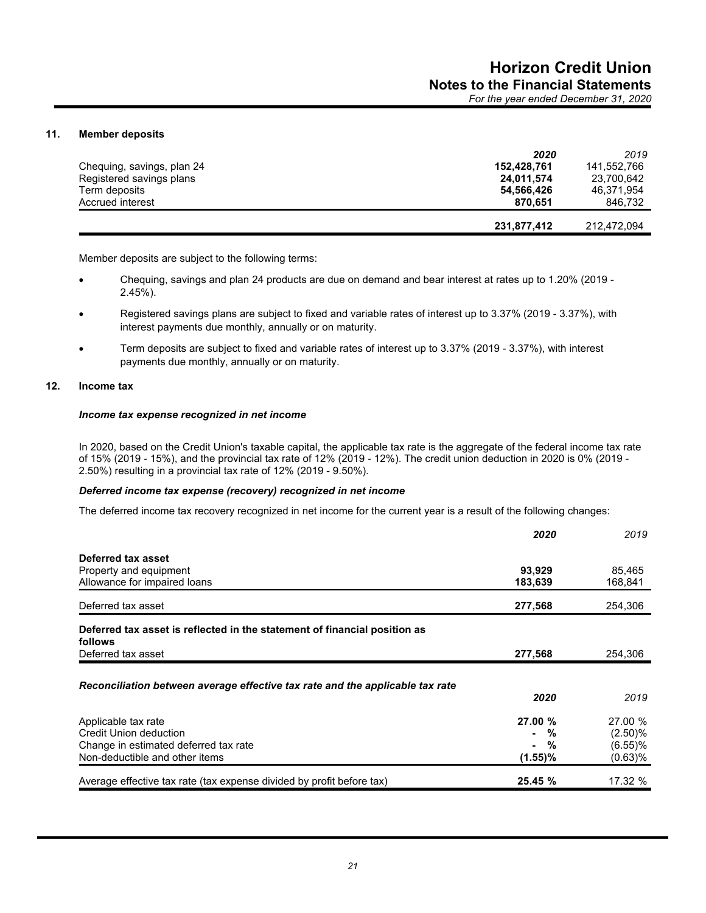## **11. Member deposits**

|                            | 2020        | 2019        |
|----------------------------|-------------|-------------|
| Chequing, savings, plan 24 | 152.428.761 | 141.552.766 |
| Registered savings plans   | 24,011,574  | 23,700,642  |
| Term deposits              | 54,566,426  | 46.371.954  |
| Accrued interest           | 870.651     | 846.732     |
|                            | 231,877,412 | 212,472,094 |

Member deposits are subject to the following terms:

- Chequing, savings and plan 24 products are due on demand and bear interest at rates up to 1.20% (2019 2.45%).
- Registered savings plans are subject to fixed and variable rates of interest up to 3.37% (2019 3.37%), with interest payments due monthly, annually or on maturity.
- Term deposits are subject to fixed and variable rates of interest up to 3.37% (2019 3.37%), with interest payments due monthly, annually or on maturity.

#### **12. Income tax**

## *Income tax expense recognized in net income*

In 2020, based on the Credit Union's taxable capital, the applicable tax rate is the aggregate of the federal income tax rate of 15% (2019 - 15%), and the provincial tax rate of 12% (2019 - 12%). The credit union deduction in 2020 is 0% (2019 - 2.50%) resulting in a provincial tax rate of 12% (2019 - 9.50%).

#### *Deferred income tax expense (recovery) recognized in net income*

The deferred income tax recovery recognized in net income for the current year is a result of the following changes:

|                                                                                      | 2020                | 2019       |
|--------------------------------------------------------------------------------------|---------------------|------------|
| Deferred tax asset                                                                   |                     |            |
| Property and equipment                                                               | 93,929              | 85,465     |
| Allowance for impaired loans                                                         | 183,639             | 168,841    |
| Deferred tax asset                                                                   | 277,568             | 254,306    |
| Deferred tax asset is reflected in the statement of financial position as<br>follows |                     |            |
| Deferred tax asset                                                                   | 277,568             | 254,306    |
|                                                                                      |                     |            |
| Reconciliation between average effective tax rate and the applicable tax rate        |                     |            |
|                                                                                      | 2020                | 2019       |
| Applicable tax rate                                                                  | 27.00 %             | 27.00 %    |
| Credit Union deduction                                                               | %<br>$\blacksquare$ | $(2.50)$ % |
| Change in estimated deferred tax rate                                                | - %                 | (6.55)%    |
| Non-deductible and other items                                                       | $(1.55)\%$          | (0.63)%    |
| Average effective tax rate (tax expense divided by profit before tax)                | 25.45 %             | 17.32 %    |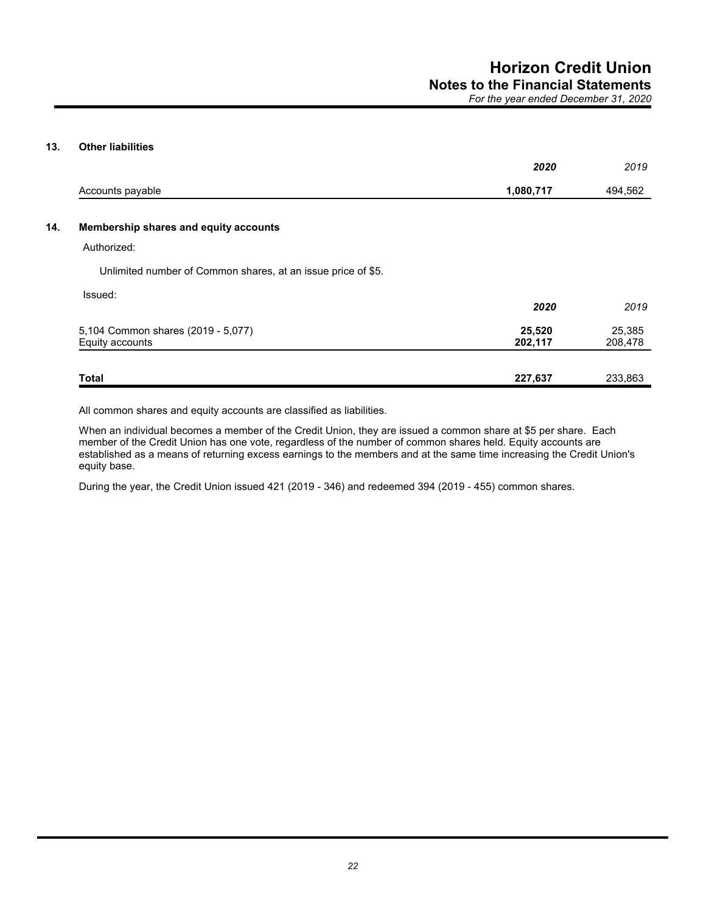## **13. Other liabilities**

|                                                              | 2020              | 2019              |
|--------------------------------------------------------------|-------------------|-------------------|
| Accounts payable                                             | 1,080,717         | 494,562           |
| Membership shares and equity accounts                        |                   |                   |
| Authorized:                                                  |                   |                   |
| Unlimited number of Common shares, at an issue price of \$5. |                   |                   |
| Issued:                                                      | 2020              | 2019              |
| 5,104 Common shares (2019 - 5,077)<br>Equity accounts        | 25,520<br>202,117 | 25,385<br>208,478 |
| <b>Total</b>                                                 | 227,637           | 233,863           |

All common shares and equity accounts are classified as liabilities.

When an individual becomes a member of the Credit Union, they are issued a common share at \$5 per share. Each member of the Credit Union has one vote, regardless of the number of common shares held. Equity accounts are established as a means of returning excess earnings to the members and at the same time increasing the Credit Union's equity base.

During the year, the Credit Union issued 421 (2019 - 346) and redeemed 394 (2019 - 455) common shares.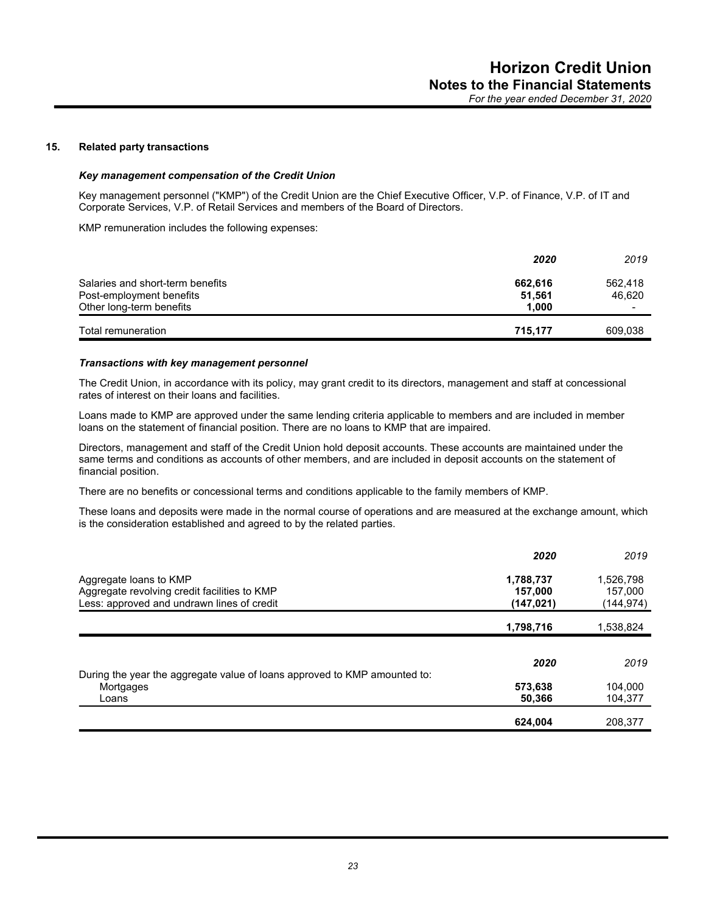## **15. Related party transactions**

#### *Key management compensation of the Credit Union*

Key management personnel ("KMP") of the Credit Union are the Chief Executive Officer, V.P. of Finance, V.P. of IT and Corporate Services, V.P. of Retail Services and members of the Board of Directors.

KMP remuneration includes the following expenses:

|                                  | 2020    | 2019                     |
|----------------------------------|---------|--------------------------|
| Salaries and short-term benefits | 662.616 | 562.418                  |
| Post-employment benefits         | 51.561  | 46,620                   |
| Other long-term benefits         | 1.000   | $\overline{\phantom{a}}$ |
| Total remuneration               | 715,177 | 609,038                  |

#### *Transactions with key management personnel*

The Credit Union, in accordance with its policy, may grant credit to its directors, management and staff at concessional rates of interest on their loans and facilities.

Loans made to KMP are approved under the same lending criteria applicable to members and are included in member loans on the statement of financial position. There are no loans to KMP that are impaired.

Directors, management and staff of the Credit Union hold deposit accounts. These accounts are maintained under the same terms and conditions as accounts of other members, and are included in deposit accounts on the statement of financial position.

There are no benefits or concessional terms and conditions applicable to the family members of KMP.

These loans and deposits were made in the normal course of operations and are measured at the exchange amount, which is the consideration established and agreed to by the related parties.

|                                                                           | 2020      | 2019      |
|---------------------------------------------------------------------------|-----------|-----------|
| Aggregate loans to KMP                                                    | 1,788,737 | 1,526,798 |
| Aggregate revolving credit facilities to KMP                              | 157,000   | 157,000   |
| Less: approved and undrawn lines of credit                                | (147,021) | (144,974) |
|                                                                           | 1,798,716 | 1,538,824 |
|                                                                           |           |           |
| During the year the aggregate value of loans approved to KMP amounted to: | 2020      | 2019      |
| Mortgages                                                                 | 573,638   | 104,000   |
| Loans                                                                     | 50,366    | 104,377   |
|                                                                           | 624,004   | 208.377   |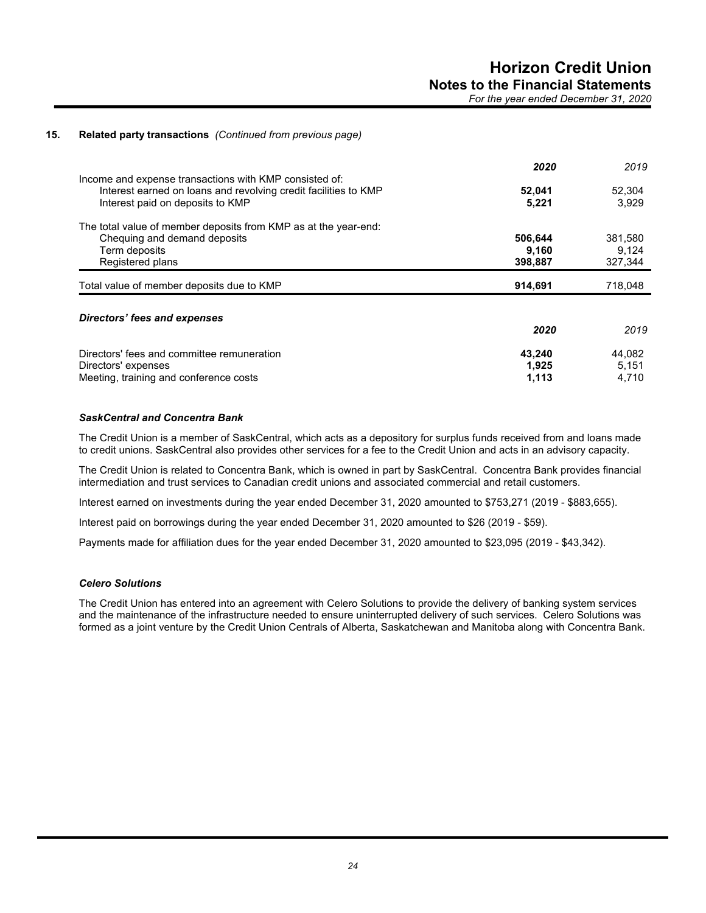## **15. Related party transactions** *(Continued from previous page)*

|                                                                                                                                                               | 2020            | 2019            |
|---------------------------------------------------------------------------------------------------------------------------------------------------------------|-----------------|-----------------|
| Income and expense transactions with KMP consisted of:<br>Interest earned on loans and revolving credit facilities to KMP<br>Interest paid on deposits to KMP | 52,041<br>5.221 | 52,304<br>3.929 |
| The total value of member deposits from KMP as at the year-end:                                                                                               |                 |                 |
| Chequing and demand deposits                                                                                                                                  | 506,644         | 381,580         |
| Term deposits                                                                                                                                                 | 9,160           | 9,124           |
| Registered plans                                                                                                                                              | 398,887         | 327,344         |
| Total value of member deposits due to KMP                                                                                                                     | 914,691         | 718,048         |
| Directors' fees and expenses                                                                                                                                  |                 |                 |
|                                                                                                                                                               | 2020            | 2019            |
| Directors' fees and committee remuneration                                                                                                                    | 43,240          | 44.082          |
| Directors' expenses                                                                                                                                           | 1,925           | 5,151           |
| Meeting, training and conference costs                                                                                                                        | 1,113           | 4,710           |

## *SaskCentral and Concentra Bank*

The Credit Union is a member of SaskCentral, which acts as a depository for surplus funds received from and loans made to credit unions. SaskCentral also provides other services for a fee to the Credit Union and acts in an advisory capacity.

The Credit Union is related to Concentra Bank, which is owned in part by SaskCentral. Concentra Bank provides financial intermediation and trust services to Canadian credit unions and associated commercial and retail customers.

Interest earned on investments during the year ended December 31, 2020 amounted to \$753,271 (2019 - \$883,655).

Interest paid on borrowings during the year ended December 31, 2020 amounted to \$26 (2019 - \$59).

Payments made for affiliation dues for the year ended December 31, 2020 amounted to \$23,095 (2019 - \$43,342).

## *Celero Solutions*

The Credit Union has entered into an agreement with Celero Solutions to provide the delivery of banking system services and the maintenance of the infrastructure needed to ensure uninterrupted delivery of such services. Celero Solutions was formed as a joint venture by the Credit Union Centrals of Alberta, Saskatchewan and Manitoba along with Concentra Bank.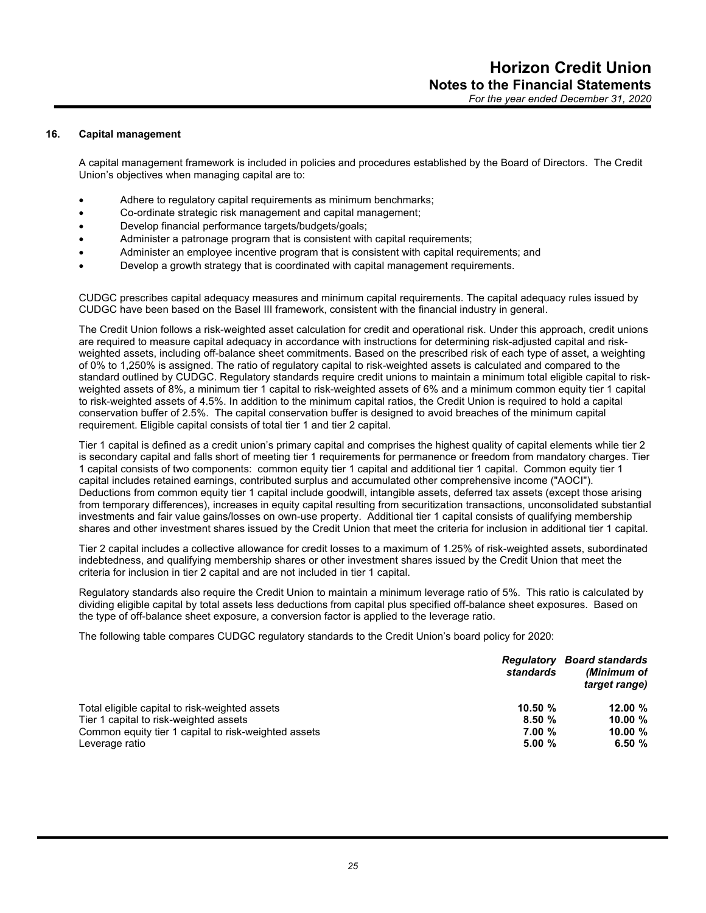#### **16. Capital management**

A capital management framework is included in policies and procedures established by the Board of Directors. The Credit Union's objectives when managing capital are to:

- Adhere to regulatory capital requirements as minimum benchmarks;
- Co-ordinate strategic risk management and capital management;
- Develop financial performance targets/budgets/goals;
- Administer a patronage program that is consistent with capital requirements;
- Administer an employee incentive program that is consistent with capital requirements; and
- Develop a growth strategy that is coordinated with capital management requirements.

CUDGC prescribes capital adequacy measures and minimum capital requirements. The capital adequacy rules issued by CUDGC have been based on the Basel III framework, consistent with the financial industry in general.

The Credit Union follows a risk-weighted asset calculation for credit and operational risk. Under this approach, credit unions are required to measure capital adequacy in accordance with instructions for determining risk-adjusted capital and riskweighted assets, including off-balance sheet commitments. Based on the prescribed risk of each type of asset, a weighting of 0% to 1,250% is assigned. The ratio of regulatory capital to risk-weighted assets is calculated and compared to the standard outlined by CUDGC. Regulatory standards require credit unions to maintain a minimum total eligible capital to riskweighted assets of 8%, a minimum tier 1 capital to risk-weighted assets of 6% and a minimum common equity tier 1 capital to risk-weighted assets of 4.5%. In addition to the minimum capital ratios, the Credit Union is required to hold a capital conservation buffer of 2.5%. The capital conservation buffer is designed to avoid breaches of the minimum capital requirement. Eligible capital consists of total tier 1 and tier 2 capital.

Tier 1 capital is defined as a credit union's primary capital and comprises the highest quality of capital elements while tier 2 is secondary capital and falls short of meeting tier 1 requirements for permanence or freedom from mandatory charges. Tier 1 capital consists of two components: common equity tier 1 capital and additional tier 1 capital. Common equity tier 1 capital includes retained earnings, contributed surplus and accumulated other comprehensive income ("AOCI"). Deductions from common equity tier 1 capital include goodwill, intangible assets, deferred tax assets (except those arising from temporary differences), increases in equity capital resulting from securitization transactions, unconsolidated substantial investments and fair value gains/losses on own-use property. Additional tier 1 capital consists of qualifying membership shares and other investment shares issued by the Credit Union that meet the criteria for inclusion in additional tier 1 capital.

Tier 2 capital includes a collective allowance for credit losses to a maximum of 1.25% of risk-weighted assets, subordinated indebtedness, and qualifying membership shares or other investment shares issued by the Credit Union that meet the criteria for inclusion in tier 2 capital and are not included in tier 1 capital.

Regulatory standards also require the Credit Union to maintain a minimum leverage ratio of 5%. This ratio is calculated by dividing eligible capital by total assets less deductions from capital plus specified off-balance sheet exposures. Based on the type of off-balance sheet exposure, a conversion factor is applied to the leverage ratio.

The following table compares CUDGC regulatory standards to the Credit Union's board policy for 2020:

|                                                      | Regulatory<br>standards | <b>Board standards</b><br>(Minimum of<br>target range) |
|------------------------------------------------------|-------------------------|--------------------------------------------------------|
| Total eligible capital to risk-weighted assets       | 10.50 $%$               | 12.00 $%$                                              |
| Tier 1 capital to risk-weighted assets               | 8.50%                   | 10.00 $%$                                              |
| Common equity tier 1 capital to risk-weighted assets | 7.00%                   | 10.00 $%$                                              |
| Leverage ratio                                       | 5.00%                   | 6.50%                                                  |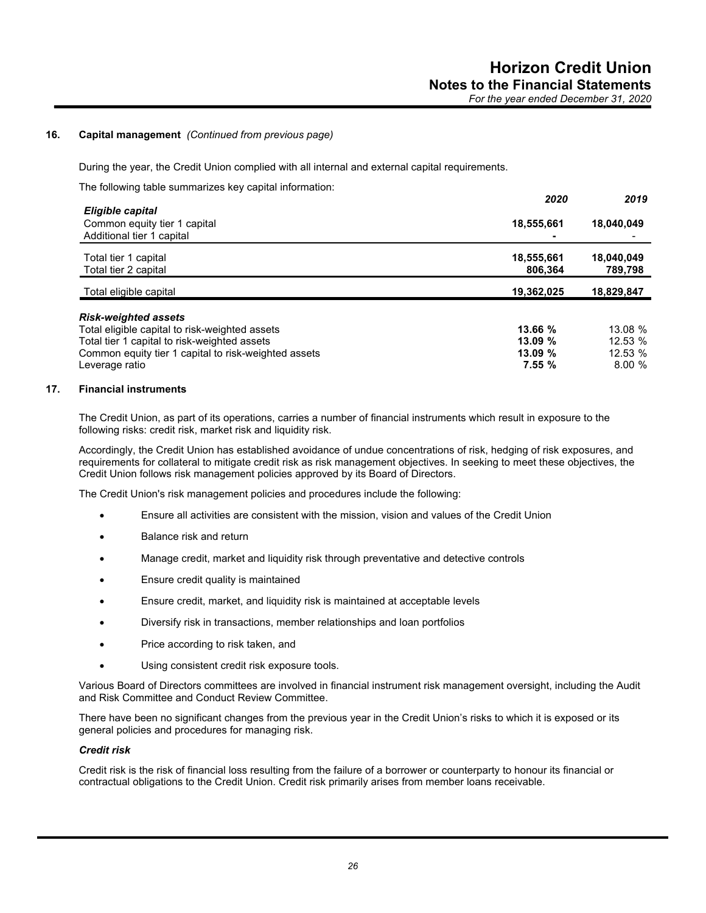## **16. Capital management** *(Continued from previous page)*

During the year, the Credit Union complied with all internal and external capital requirements.

The following table summarizes key capital information:

|                                                                               | 2020                  | 2019                  |
|-------------------------------------------------------------------------------|-----------------------|-----------------------|
| Eligible capital<br>Common equity tier 1 capital<br>Additional tier 1 capital | 18,555,661            | 18,040,049            |
| Total tier 1 capital<br>Total tier 2 capital                                  | 18,555,661<br>806,364 | 18,040,049<br>789,798 |
| Total eligible capital                                                        | 19,362,025            | 18,829,847            |
| <b>Risk-weighted assets</b>                                                   |                       |                       |
| Total eligible capital to risk-weighted assets                                | 13.66 %               | 13.08 %               |
| Total tier 1 capital to risk-weighted assets                                  | 13.09%                | 12.53 %               |
| Common equity tier 1 capital to risk-weighted assets                          | 13.09%                | 12.53 %               |
| Leverage ratio                                                                | 7.55%                 | 8.00%                 |

#### **17. Financial instruments**

The Credit Union, as part of its operations, carries a number of financial instruments which result in exposure to the following risks: credit risk, market risk and liquidity risk.

Accordingly, the Credit Union has established avoidance of undue concentrations of risk, hedging of risk exposures, and requirements for collateral to mitigate credit risk as risk management objectives. In seeking to meet these objectives, the Credit Union follows risk management policies approved by its Board of Directors.

The Credit Union's risk management policies and procedures include the following:

- Ensure all activities are consistent with the mission, vision and values of the Credit Union
- Balance risk and return
- Manage credit, market and liquidity risk through preventative and detective controls
- Ensure credit quality is maintained
- Ensure credit, market, and liquidity risk is maintained at acceptable levels
- Diversify risk in transactions, member relationships and loan portfolios
- Price according to risk taken, and
- Using consistent credit risk exposure tools.

Various Board of Directors committees are involved in financial instrument risk management oversight, including the Audit and Risk Committee and Conduct Review Committee.

There have been no significant changes from the previous year in the Credit Union's risks to which it is exposed or its general policies and procedures for managing risk.

#### *Credit risk*

Credit risk is the risk of financial loss resulting from the failure of a borrower or counterparty to honour its financial or contractual obligations to the Credit Union. Credit risk primarily arises from member loans receivable.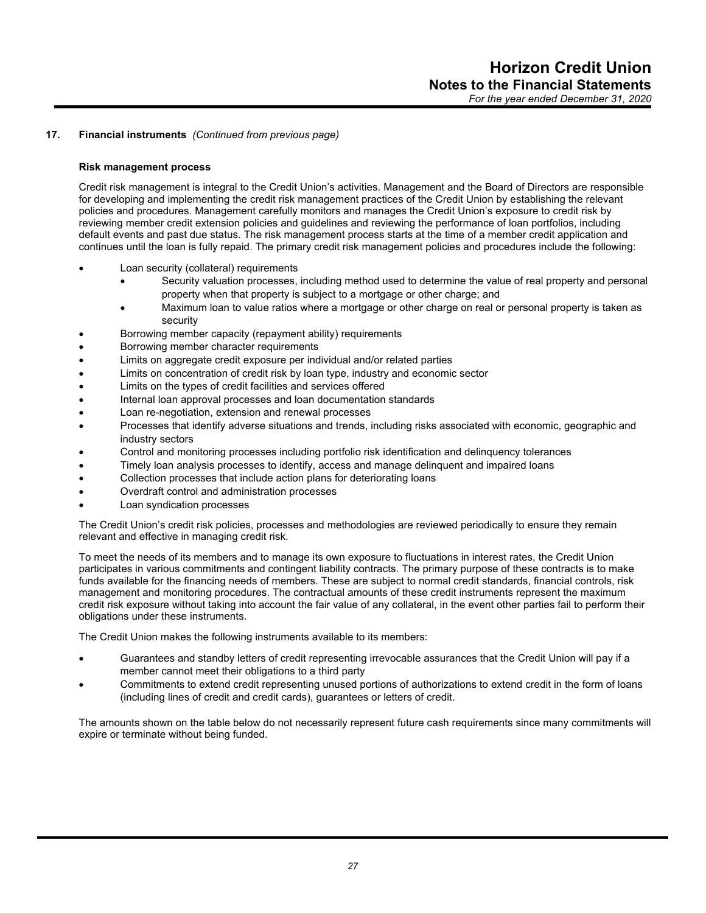#### **Risk management process**

Credit risk management is integral to the Credit Union's activities. Management and the Board of Directors are responsible for developing and implementing the credit risk management practices of the Credit Union by establishing the relevant policies and procedures. Management carefully monitors and manages the Credit Union's exposure to credit risk by reviewing member credit extension policies and guidelines and reviewing the performance of loan portfolios, including default events and past due status. The risk management process starts at the time of a member credit application and continues until the loan is fully repaid. The primary credit risk management policies and procedures include the following:

- Loan security (collateral) requirements
	- Security valuation processes, including method used to determine the value of real property and personal property when that property is subject to a mortgage or other charge; and
	- Maximum loan to value ratios where a mortgage or other charge on real or personal property is taken as security
- Borrowing member capacity (repayment ability) requirements
- Borrowing member character requirements
- Limits on aggregate credit exposure per individual and/or related parties
- Limits on concentration of credit risk by loan type, industry and economic sector
- Limits on the types of credit facilities and services offered
- Internal loan approval processes and loan documentation standards
- Loan re-negotiation, extension and renewal processes
- Processes that identify adverse situations and trends, including risks associated with economic, geographic and industry sectors
- Control and monitoring processes including portfolio risk identification and delinquency tolerances
- Timely loan analysis processes to identify, access and manage delinquent and impaired loans
- Collection processes that include action plans for deteriorating loans
- Overdraft control and administration processes
- Loan syndication processes

The Credit Union's credit risk policies, processes and methodologies are reviewed periodically to ensure they remain relevant and effective in managing credit risk.

To meet the needs of its members and to manage its own exposure to fluctuations in interest rates, the Credit Union participates in various commitments and contingent liability contracts. The primary purpose of these contracts is to make funds available for the financing needs of members. These are subject to normal credit standards, financial controls, risk management and monitoring procedures. The contractual amounts of these credit instruments represent the maximum credit risk exposure without taking into account the fair value of any collateral, in the event other parties fail to perform their obligations under these instruments.

The Credit Union makes the following instruments available to its members:

- Guarantees and standby letters of credit representing irrevocable assurances that the Credit Union will pay if a member cannot meet their obligations to a third party
- Commitments to extend credit representing unused portions of authorizations to extend credit in the form of loans (including lines of credit and credit cards), guarantees or letters of credit.

The amounts shown on the table below do not necessarily represent future cash requirements since many commitments will expire or terminate without being funded.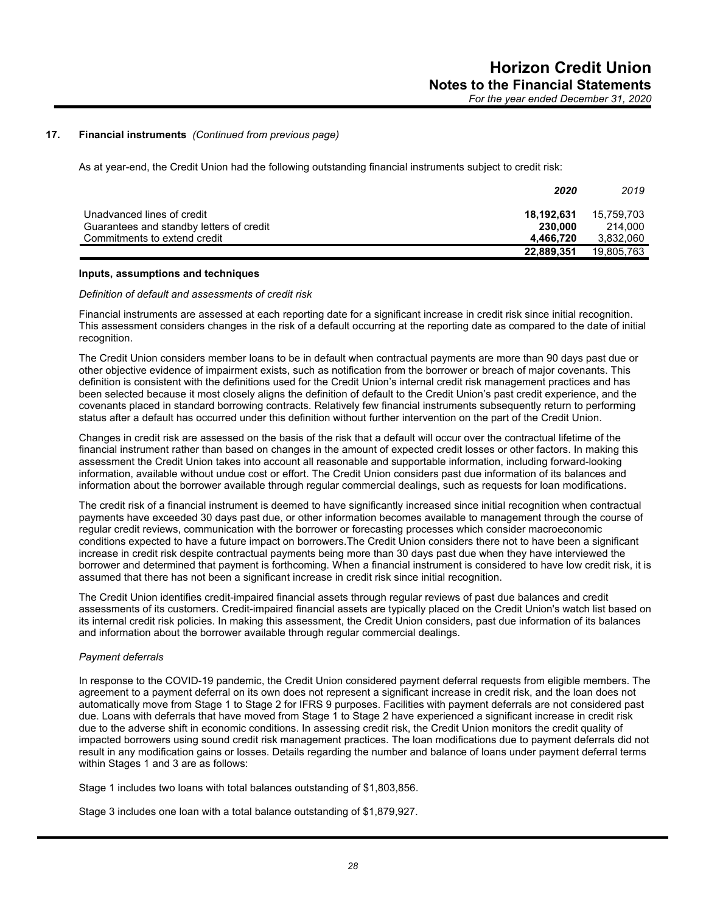As at year-end, the Credit Union had the following outstanding financial instruments subject to credit risk:

|                                                                        | 2020                  | 2019                  |
|------------------------------------------------------------------------|-----------------------|-----------------------|
| Unadvanced lines of credit<br>Guarantees and standby letters of credit | 18.192.631<br>230,000 | 15.759.703<br>214,000 |
| Commitments to extend credit                                           | 4.466.720             | 3.832.060             |
|                                                                        | 22,889,351            | 19.805.763            |

#### **Inputs, assumptions and techniques**

#### *Definition of default and assessments of credit risk*

Financial instruments are assessed at each reporting date for a significant increase in credit risk since initial recognition. This assessment considers changes in the risk of a default occurring at the reporting date as compared to the date of initial recognition.

The Credit Union considers member loans to be in default when contractual payments are more than 90 days past due or other objective evidence of impairment exists, such as notification from the borrower or breach of major covenants. This definition is consistent with the definitions used for the Credit Union's internal credit risk management practices and has been selected because it most closely aligns the definition of default to the Credit Union's past credit experience, and the covenants placed in standard borrowing contracts. Relatively few financial instruments subsequently return to performing status after a default has occurred under this definition without further intervention on the part of the Credit Union.

Changes in credit risk are assessed on the basis of the risk that a default will occur over the contractual lifetime of the financial instrument rather than based on changes in the amount of expected credit losses or other factors. In making this assessment the Credit Union takes into account all reasonable and supportable information, including forward-looking information, available without undue cost or effort. The Credit Union considers past due information of its balances and information about the borrower available through regular commercial dealings, such as requests for loan modifications.

The credit risk of a financial instrument is deemed to have significantly increased since initial recognition when contractual payments have exceeded 30 days past due, or other information becomes available to management through the course of regular credit reviews, communication with the borrower or forecasting processes which consider macroeconomic conditions expected to have a future impact on borrowers.The Credit Union considers there not to have been a significant increase in credit risk despite contractual payments being more than 30 days past due when they have interviewed the borrower and determined that payment is forthcoming. When a financial instrument is considered to have low credit risk, it is assumed that there has not been a significant increase in credit risk since initial recognition.

The Credit Union identifies credit-impaired financial assets through regular reviews of past due balances and credit assessments of its customers. Credit-impaired financial assets are typically placed on the Credit Union's watch list based on its internal credit risk policies. In making this assessment, the Credit Union considers, past due information of its balances and information about the borrower available through regular commercial dealings.

## *Payment deferrals*

In response to the COVID-19 pandemic, the Credit Union considered payment deferral requests from eligible members. The agreement to a payment deferral on its own does not represent a significant increase in credit risk, and the loan does not automatically move from Stage 1 to Stage 2 for IFRS 9 purposes. Facilities with payment deferrals are not considered past due. Loans with deferrals that have moved from Stage 1 to Stage 2 have experienced a significant increase in credit risk due to the adverse shift in economic conditions. In assessing credit risk, the Credit Union monitors the credit quality of impacted borrowers using sound credit risk management practices. The loan modifications due to payment deferrals did not result in any modification gains or losses. Details regarding the number and balance of loans under payment deferral terms within Stages 1 and 3 are as follows:

Stage 1 includes two loans with total balances outstanding of \$1,803,856.

Stage 3 includes one loan with a total balance outstanding of \$1,879,927.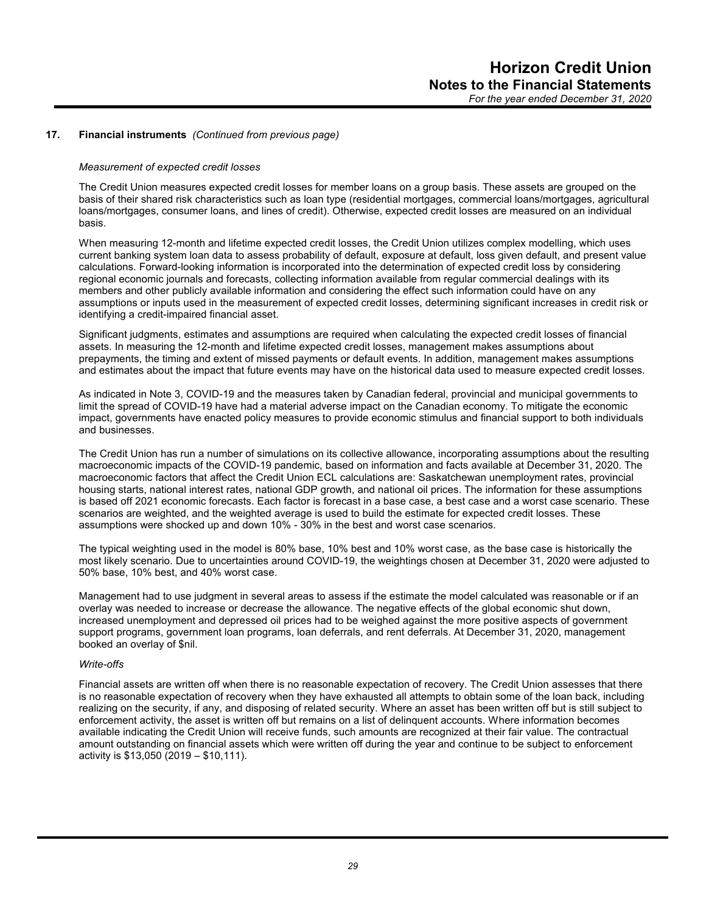#### *Measurement of expected credit losses*

The Credit Union measures expected credit losses for member loans on a group basis. These assets are grouped on the basis of their shared risk characteristics such as loan type (residential mortgages, commercial loans/mortgages, agricultural loans/mortgages, consumer loans, and lines of credit). Otherwise, expected credit losses are measured on an individual basis.

When measuring 12-month and lifetime expected credit losses, the Credit Union utilizes complex modelling, which uses current banking system loan data to assess probability of default, exposure at default, loss given default, and present value calculations. Forward-looking information is incorporated into the determination of expected credit loss by considering regional economic journals and forecasts, collecting information available from regular commercial dealings with its members and other publicly available information and considering the effect such information could have on any assumptions or inputs used in the measurement of expected credit losses, determining significant increases in credit risk or identifying a credit-impaired financial asset.

Significant judgments, estimates and assumptions are required when calculating the expected credit losses of financial assets. In measuring the 12-month and lifetime expected credit losses, management makes assumptions about prepayments, the timing and extent of missed payments or default events. In addition, management makes assumptions and estimates about the impact that future events may have on the historical data used to measure expected credit losses.

As indicated in Note 3, COVID-19 and the measures taken by Canadian federal, provincial and municipal governments to limit the spread of COVID-19 have had a material adverse impact on the Canadian economy. To mitigate the economic impact, governments have enacted policy measures to provide economic stimulus and financial support to both individuals and businesses.

The Credit Union has run a number of simulations on its collective allowance, incorporating assumptions about the resulting macroeconomic impacts of the COVID-19 pandemic, based on information and facts available at December 31, 2020. The macroeconomic factors that affect the Credit Union ECL calculations are: Saskatchewan unemployment rates, provincial housing starts, national interest rates, national GDP growth, and national oil prices. The information for these assumptions is based off 2021 economic forecasts. Each factor is forecast in a base case, a best case and a worst case scenario. These scenarios are weighted, and the weighted average is used to build the estimate for expected credit losses. These assumptions were shocked up and down 10% - 30% in the best and worst case scenarios.

The typical weighting used in the model is 80% base, 10% best and 10% worst case, as the base case is historically the most likely scenario. Due to uncertainties around COVID-19, the weightings chosen at December 31, 2020 were adjusted to 50% base, 10% best, and 40% worst case.

Management had to use judgment in several areas to assess if the estimate the model calculated was reasonable or if an overlay was needed to increase or decrease the allowance. The negative effects of the global economic shut down, increased unemployment and depressed oil prices had to be weighed against the more positive aspects of government support programs, government loan programs, loan deferrals, and rent deferrals. At December 31, 2020, management booked an overlay of \$nil.

#### *Write-offs*

Financial assets are written off when there is no reasonable expectation of recovery. The Credit Union assesses that there is no reasonable expectation of recovery when they have exhausted all attempts to obtain some of the loan back, including realizing on the security, if any, and disposing of related security. Where an asset has been written off but is still subject to enforcement activity, the asset is written off but remains on a list of delinquent accounts. Where information becomes available indicating the Credit Union will receive funds, such amounts are recognized at their fair value. The contractual amount outstanding on financial assets which were written off during the year and continue to be subject to enforcement activity is \$13,050 (2019 – \$10,111).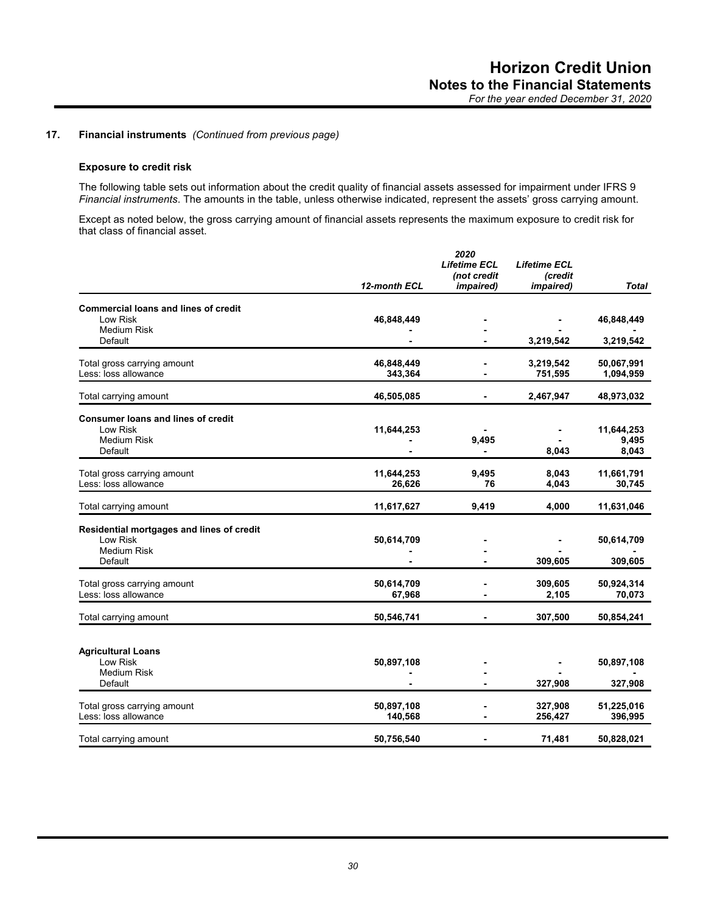## **Exposure to credit risk**

The following table sets out information about the credit quality of financial assets assessed for impairment under IFRS 9 *Financial instruments*. The amounts in the table, unless otherwise indicated, represent the assets' gross carrying amount.

Except as noted below, the gross carrying amount of financial assets represents the maximum exposure to credit risk for that class of financial asset.

|                                             |              | 2020                               |                                |            |
|---------------------------------------------|--------------|------------------------------------|--------------------------------|------------|
|                                             |              | <b>Lifetime ECL</b><br>(not credit | <b>Lifetime ECL</b><br>(credit |            |
|                                             |              |                                    |                                |            |
|                                             | 12-month ECL | <i>impaired</i> )                  | <i>impaired)</i>               | Total      |
| <b>Commercial loans and lines of credit</b> |              |                                    |                                |            |
| Low Risk                                    |              |                                    |                                |            |
| <b>Medium Risk</b>                          | 46,848,449   |                                    |                                | 46,848,449 |
| Default                                     |              |                                    | 3,219,542                      |            |
|                                             |              |                                    |                                | 3,219,542  |
| Total gross carrying amount                 | 46,848,449   |                                    | 3,219,542                      | 50,067,991 |
| Less: loss allowance                        | 343,364      |                                    | 751,595                        | 1,094,959  |
|                                             |              |                                    |                                |            |
| Total carrying amount                       | 46,505,085   |                                    | 2,467,947                      | 48,973,032 |
| Consumer loans and lines of credit          |              |                                    |                                |            |
| Low Risk                                    | 11,644,253   |                                    |                                | 11,644,253 |
| <b>Medium Risk</b>                          |              | 9,495                              |                                | 9,495      |
| Default                                     |              |                                    | 8,043                          | 8,043      |
|                                             |              |                                    |                                |            |
| Total gross carrying amount                 | 11,644,253   | 9,495                              | 8,043                          | 11,661,791 |
| Less: loss allowance                        | 26,626       | 76                                 | 4,043                          | 30,745     |
|                                             |              |                                    |                                |            |
| Total carrying amount                       | 11,617,627   | 9,419                              | 4,000                          | 11,631,046 |
| Residential mortgages and lines of credit   |              |                                    |                                |            |
| Low Risk                                    | 50,614,709   |                                    |                                | 50,614,709 |
| <b>Medium Risk</b>                          |              |                                    |                                |            |
| Default                                     |              |                                    | 309,605                        | 309,605    |
|                                             |              |                                    |                                |            |
| Total gross carrying amount                 | 50,614,709   |                                    | 309,605                        | 50,924,314 |
| Less: loss allowance                        | 67,968       |                                    | 2,105                          | 70,073     |
| Total carrying amount                       | 50,546,741   |                                    | 307,500                        | 50,854,241 |
|                                             |              |                                    |                                |            |
| <b>Agricultural Loans</b>                   |              |                                    |                                |            |
| Low Risk                                    | 50,897,108   |                                    |                                | 50,897,108 |
| <b>Medium Risk</b>                          |              |                                    |                                |            |
| Default                                     |              |                                    | 327,908                        | 327,908    |
|                                             |              |                                    |                                |            |
| Total gross carrying amount                 | 50,897,108   |                                    | 327,908                        | 51,225,016 |
| Less: loss allowance                        | 140,568      |                                    | 256,427                        | 396,995    |
|                                             |              |                                    |                                |            |
| Total carrying amount                       | 50,756,540   |                                    | 71,481                         | 50,828,021 |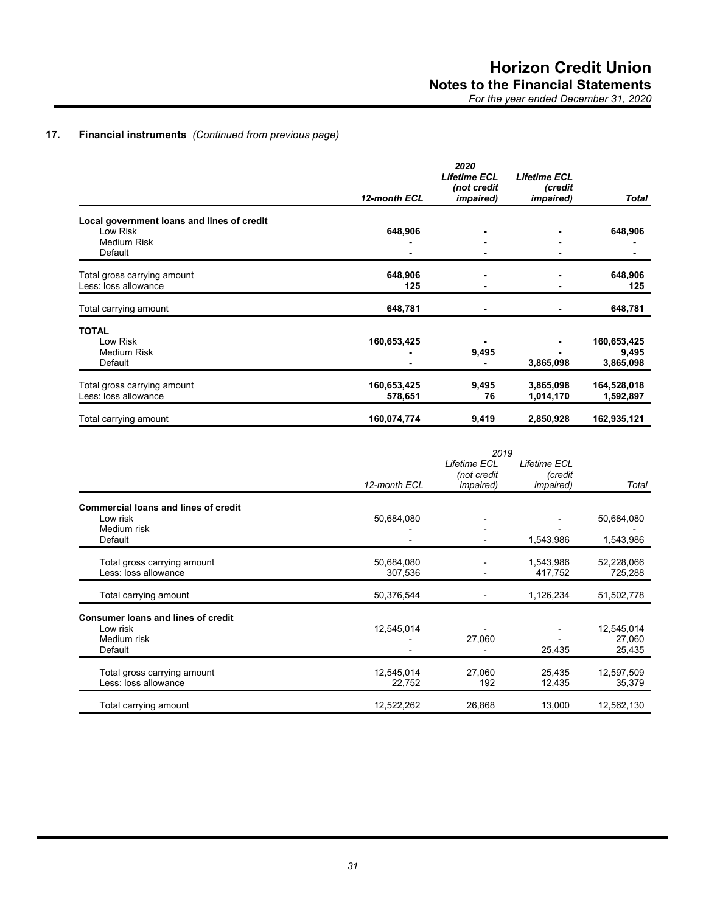|                                            |              | 2020<br><b>Lifetime ECL</b>      | <b>Lifetime ECL</b>         |             |
|--------------------------------------------|--------------|----------------------------------|-----------------------------|-------------|
|                                            | 12-month ECL | (not credit<br><i>impaired</i> ) | (credit<br><i>impaired)</i> | Total       |
| Local government loans and lines of credit |              |                                  |                             |             |
| Low Risk                                   | 648,906      |                                  |                             | 648,906     |
| Medium Risk                                |              |                                  |                             |             |
| Default                                    |              |                                  |                             |             |
| Total gross carrying amount                | 648,906      | ۰                                |                             | 648,906     |
| Less: loss allowance                       | 125          |                                  |                             | 125         |
| Total carrying amount                      | 648,781      |                                  |                             | 648,781     |
| <b>TOTAL</b>                               |              |                                  |                             |             |
| Low Risk                                   | 160,653,425  |                                  |                             | 160,653,425 |
| <b>Medium Risk</b>                         |              | 9,495                            |                             | 9,495       |
| Default                                    |              |                                  | 3,865,098                   | 3,865,098   |
| Total gross carrying amount                | 160,653,425  | 9,495                            | 3,865,098                   | 164,528,018 |
| Less: loss allowance                       | 578,651      | 76                               | 1,014,170                   | 1,592,897   |
| Total carrying amount                      | 160,074,774  | 9,419                            | 2,850,928                   | 162,935,121 |

|                                                     | 2019                  |                                                  |                                              |                       |
|-----------------------------------------------------|-----------------------|--------------------------------------------------|----------------------------------------------|-----------------------|
|                                                     | 12-month ECL          | Lifetime ECL<br>(not credit<br><i>impaired</i> ) | Lifetime ECL<br>(credit<br><i>impaired</i> ) | Total                 |
|                                                     |                       |                                                  |                                              |                       |
| <b>Commercial loans and lines of credit</b>         |                       |                                                  |                                              |                       |
| Low risk                                            | 50,684,080            |                                                  |                                              | 50,684,080            |
| Medium risk                                         |                       |                                                  |                                              |                       |
| Default                                             |                       |                                                  | 1,543,986                                    | 1,543,986             |
|                                                     |                       |                                                  |                                              |                       |
| Total gross carrying amount<br>Less: loss allowance | 50,684,080<br>307,536 |                                                  | 1,543,986<br>417,752                         | 52,228,066<br>725,288 |
|                                                     |                       |                                                  |                                              |                       |
| Total carrying amount                               | 50,376,544            |                                                  | 1,126,234                                    | 51,502,778            |
| <b>Consumer loans and lines of credit</b>           |                       |                                                  |                                              |                       |
| Low risk                                            | 12,545,014            |                                                  |                                              | 12,545,014            |
| Medium risk                                         |                       | 27,060                                           |                                              | 27,060                |
| Default                                             |                       |                                                  | 25,435                                       | 25,435                |
| Total gross carrying amount                         | 12,545,014            | 27,060                                           | 25,435                                       | 12,597,509            |
| Less: loss allowance                                | 22,752                | 192                                              | 12,435                                       | 35,379                |
|                                                     |                       |                                                  |                                              |                       |
| Total carrying amount                               | 12,522,262            | 26,868                                           | 13,000                                       | 12,562,130            |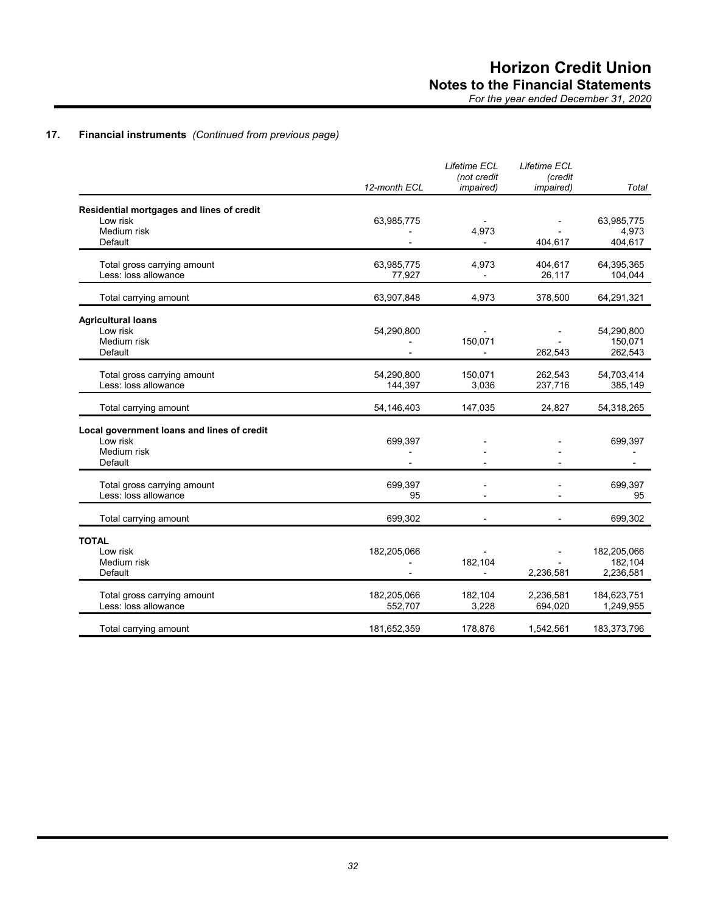|                                                                                  | 12-month ECL           | Lifetime ECL<br>(not credit<br><i>impaired</i> ) | Lifetime ECL<br>(credit<br><i>impaired</i> ) | Total                               |
|----------------------------------------------------------------------------------|------------------------|--------------------------------------------------|----------------------------------------------|-------------------------------------|
| Residential mortgages and lines of credit<br>Low risk<br>Medium risk<br>Default  | 63,985,775             | 4,973                                            | 404,617                                      | 63,985,775<br>4,973<br>404,617      |
| Total gross carrying amount<br>Less: loss allowance                              | 63,985,775<br>77,927   | 4,973<br>$\overline{\phantom{a}}$                | 404,617<br>26,117                            | 64,395,365<br>104,044               |
| Total carrying amount                                                            | 63,907,848             | 4,973                                            | 378,500                                      | 64,291,321                          |
| <b>Agricultural loans</b><br>Low risk<br>Medium risk<br>Default                  | 54,290,800             | 150,071<br>$\overline{\phantom{a}}$              | 262.543                                      | 54,290,800<br>150,071<br>262,543    |
| Total gross carrying amount<br>Less: loss allowance                              | 54,290,800<br>144,397  | 150,071<br>3,036                                 | 262,543<br>237,716                           | 54,703,414<br>385,149               |
| Total carrying amount                                                            | 54,146,403             | 147,035                                          | 24,827                                       | 54,318,265                          |
| Local government loans and lines of credit<br>Low risk<br>Medium risk<br>Default | 699,397                |                                                  |                                              | 699,397                             |
| Total gross carrying amount<br>Less: loss allowance                              | 699,397<br>95          |                                                  |                                              | 699,397<br>95                       |
| Total carrying amount                                                            | 699,302                |                                                  |                                              | 699,302                             |
| <b>TOTAL</b><br>Low risk<br>Medium risk<br>Default                               | 182,205,066            | 182,104                                          | 2,236,581                                    | 182,205,066<br>182,104<br>2,236,581 |
| Total gross carrying amount<br>Less: loss allowance                              | 182,205,066<br>552,707 | 182,104<br>3,228                                 | 2,236,581<br>694,020                         | 184,623,751<br>1,249,955            |
| Total carrying amount                                                            | 181,652,359            | 178,876                                          | 1,542,561                                    | 183,373,796                         |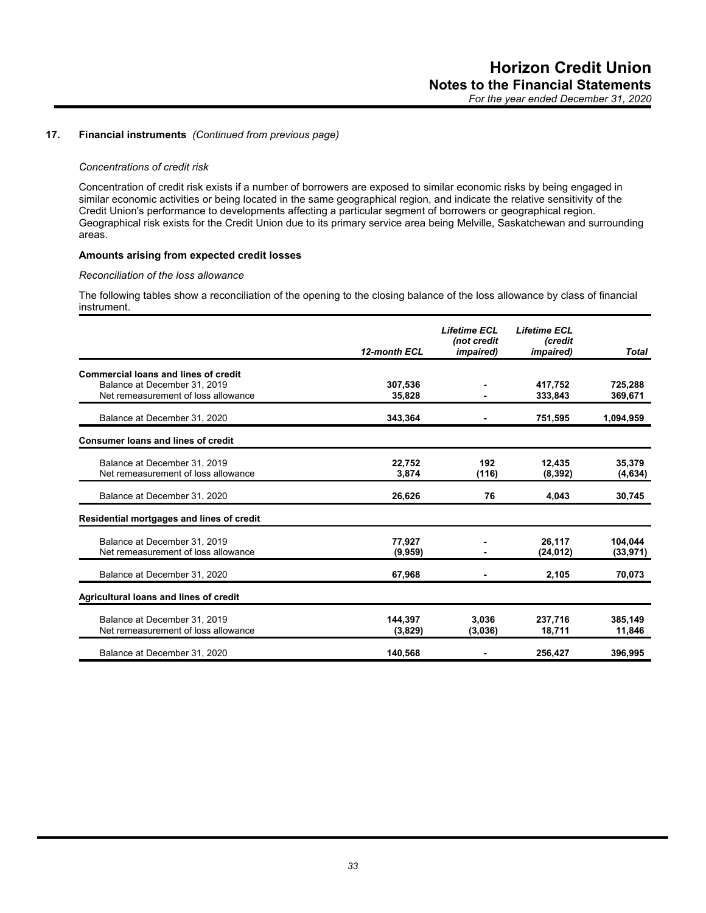#### *Concentrations of credit risk*

Concentration of credit risk exists if a number of borrowers are exposed to similar economic risks by being engaged in similar economic activities or being located in the same geographical region, and indicate the relative sensitivity of the Credit Union's performance to developments affecting a particular segment of borrowers or geographical region. Geographical risk exists for the Credit Union due to its primary service area being Melville, Saskatchewan and surrounding areas.

## **Amounts arising from expected credit losses**

## *Reconciliation of the loss allowance*

The following tables show a reconciliation of the opening to the closing balance of the loss allowance by class of financial instrument.

|                                             | 12-month ECL | <b>Lifetime ECL</b><br>(not credit<br><i>impaired</i> ) | <b>Lifetime ECL</b><br><b>Credit</b><br><i>impaired</i> ) | <b>Total</b> |
|---------------------------------------------|--------------|---------------------------------------------------------|-----------------------------------------------------------|--------------|
|                                             |              |                                                         |                                                           |              |
| <b>Commercial loans and lines of credit</b> |              |                                                         |                                                           |              |
| Balance at December 31, 2019                | 307,536      |                                                         | 417,752                                                   | 725,288      |
| Net remeasurement of loss allowance         | 35,828       |                                                         | 333,843                                                   | 369,671      |
| Balance at December 31, 2020                | 343,364      |                                                         | 751,595                                                   | 1,094,959    |
| <b>Consumer loans and lines of credit</b>   |              |                                                         |                                                           |              |
| Balance at December 31, 2019                | 22,752       | 192                                                     | 12,435                                                    | 35,379       |
| Net remeasurement of loss allowance         | 3,874        | (116)                                                   | (8, 392)                                                  | (4,634)      |
| Balance at December 31, 2020                | 26,626       | 76                                                      | 4.043                                                     | 30,745       |
| Residential mortgages and lines of credit   |              |                                                         |                                                           |              |
| Balance at December 31, 2019                | 77,927       |                                                         | 26,117                                                    | 104.044      |
| Net remeasurement of loss allowance         | (9,959)      |                                                         | (24, 012)                                                 | (33, 971)    |
| Balance at December 31, 2020                | 67,968       |                                                         | 2,105                                                     | 70,073       |
| Agricultural loans and lines of credit      |              |                                                         |                                                           |              |
| Balance at December 31, 2019                | 144.397      | 3.036                                                   | 237,716                                                   | 385,149      |
| Net remeasurement of loss allowance         | (3,829)      | (3,036)                                                 | 18,711                                                    | 11,846       |
| Balance at December 31, 2020                | 140,568      |                                                         | 256,427                                                   | 396,995      |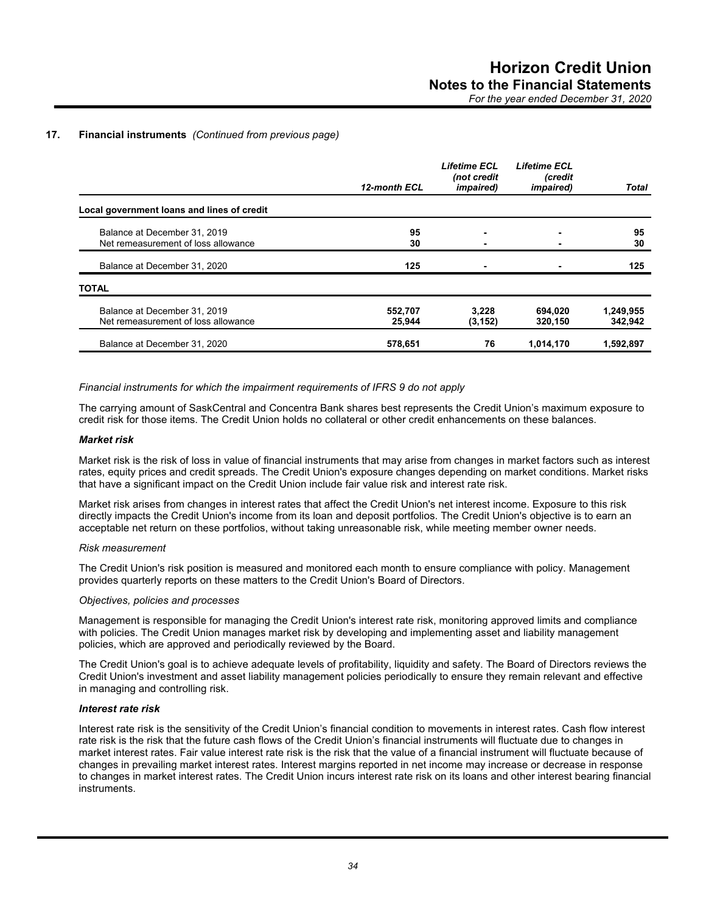|                                                                     | 12-month ECL      | <b>Lifetime ECL</b><br>(not credit<br><i>impaired</i> ) | <b>Lifetime ECL</b><br>(credit<br><i>impaired</i> ) | <b>Total</b>         |
|---------------------------------------------------------------------|-------------------|---------------------------------------------------------|-----------------------------------------------------|----------------------|
| Local government loans and lines of credit                          |                   |                                                         |                                                     |                      |
| Balance at December 31, 2019<br>Net remeasurement of loss allowance | 95<br>30          |                                                         |                                                     | 95<br>30             |
| Balance at December 31, 2020                                        | 125               |                                                         |                                                     | 125                  |
| <b>TOTAL</b>                                                        |                   |                                                         |                                                     |                      |
| Balance at December 31, 2019<br>Net remeasurement of loss allowance | 552,707<br>25,944 | 3.228<br>(3, 152)                                       | 694,020<br>320,150                                  | 1,249,955<br>342,942 |
| Balance at December 31, 2020                                        | 578,651           | 76                                                      | 1,014,170                                           | 1.592.897            |

*Financial instruments for which the impairment requirements of IFRS 9 do not apply*

The carrying amount of SaskCentral and Concentra Bank shares best represents the Credit Union's maximum exposure to credit risk for those items. The Credit Union holds no collateral or other credit enhancements on these balances.

#### *Market risk*

Market risk is the risk of loss in value of financial instruments that may arise from changes in market factors such as interest rates, equity prices and credit spreads. The Credit Union's exposure changes depending on market conditions. Market risks that have a significant impact on the Credit Union include fair value risk and interest rate risk.

Market risk arises from changes in interest rates that affect the Credit Union's net interest income. Exposure to this risk directly impacts the Credit Union's income from its loan and deposit portfolios. The Credit Union's objective is to earn an acceptable net return on these portfolios, without taking unreasonable risk, while meeting member owner needs.

#### *Risk measurement*

The Credit Union's risk position is measured and monitored each month to ensure compliance with policy. Management provides quarterly reports on these matters to the Credit Union's Board of Directors.

## *Objectives, policies and processes*

Management is responsible for managing the Credit Union's interest rate risk, monitoring approved limits and compliance with policies. The Credit Union manages market risk by developing and implementing asset and liability management policies, which are approved and periodically reviewed by the Board.

The Credit Union's goal is to achieve adequate levels of profitability, liquidity and safety. The Board of Directors reviews the Credit Union's investment and asset liability management policies periodically to ensure they remain relevant and effective in managing and controlling risk.

#### *Interest rate risk*

Interest rate risk is the sensitivity of the Credit Union's financial condition to movements in interest rates. Cash flow interest rate risk is the risk that the future cash flows of the Credit Union's financial instruments will fluctuate due to changes in market interest rates. Fair value interest rate risk is the risk that the value of a financial instrument will fluctuate because of changes in prevailing market interest rates. Interest margins reported in net income may increase or decrease in response to changes in market interest rates. The Credit Union incurs interest rate risk on its loans and other interest bearing financial instruments.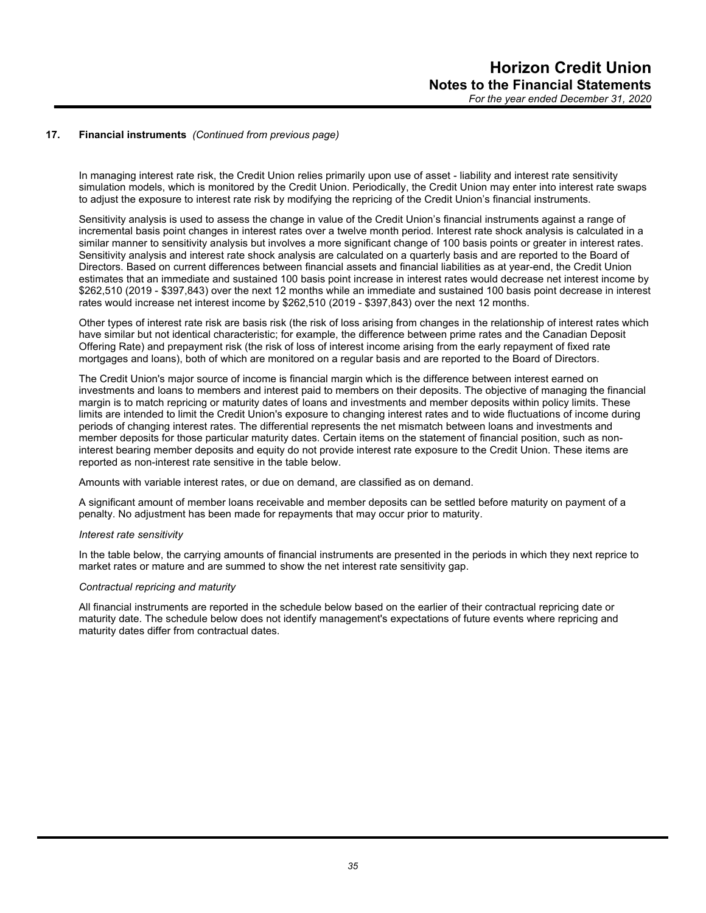In managing interest rate risk, the Credit Union relies primarily upon use of asset - liability and interest rate sensitivity simulation models, which is monitored by the Credit Union. Periodically, the Credit Union may enter into interest rate swaps to adjust the exposure to interest rate risk by modifying the repricing of the Credit Union's financial instruments.

Sensitivity analysis is used to assess the change in value of the Credit Union's financial instruments against a range of incremental basis point changes in interest rates over a twelve month period. Interest rate shock analysis is calculated in a similar manner to sensitivity analysis but involves a more significant change of 100 basis points or greater in interest rates. Sensitivity analysis and interest rate shock analysis are calculated on a quarterly basis and are reported to the Board of Directors. Based on current differences between financial assets and financial liabilities as at year-end, the Credit Union estimates that an immediate and sustained 100 basis point increase in interest rates would decrease net interest income by \$262,510 (2019 - \$397,843) over the next 12 months while an immediate and sustained 100 basis point decrease in interest rates would increase net interest income by \$262,510 (2019 - \$397,843) over the next 12 months.

Other types of interest rate risk are basis risk (the risk of loss arising from changes in the relationship of interest rates which have similar but not identical characteristic; for example, the difference between prime rates and the Canadian Deposit Offering Rate) and prepayment risk (the risk of loss of interest income arising from the early repayment of fixed rate mortgages and loans), both of which are monitored on a regular basis and are reported to the Board of Directors.

The Credit Union's major source of income is financial margin which is the difference between interest earned on investments and loans to members and interest paid to members on their deposits. The objective of managing the financial margin is to match repricing or maturity dates of loans and investments and member deposits within policy limits. These limits are intended to limit the Credit Union's exposure to changing interest rates and to wide fluctuations of income during periods of changing interest rates. The differential represents the net mismatch between loans and investments and member deposits for those particular maturity dates. Certain items on the statement of financial position, such as noninterest bearing member deposits and equity do not provide interest rate exposure to the Credit Union. These items are reported as non-interest rate sensitive in the table below.

Amounts with variable interest rates, or due on demand, are classified as on demand.

A significant amount of member loans receivable and member deposits can be settled before maturity on payment of a penalty. No adjustment has been made for repayments that may occur prior to maturity.

#### *Interest rate sensitivity*

In the table below, the carrying amounts of financial instruments are presented in the periods in which they next reprice to market rates or mature and are summed to show the net interest rate sensitivity gap.

#### *Contractual repricing and maturity*

All financial instruments are reported in the schedule below based on the earlier of their contractual repricing date or maturity date. The schedule below does not identify management's expectations of future events where repricing and maturity dates differ from contractual dates.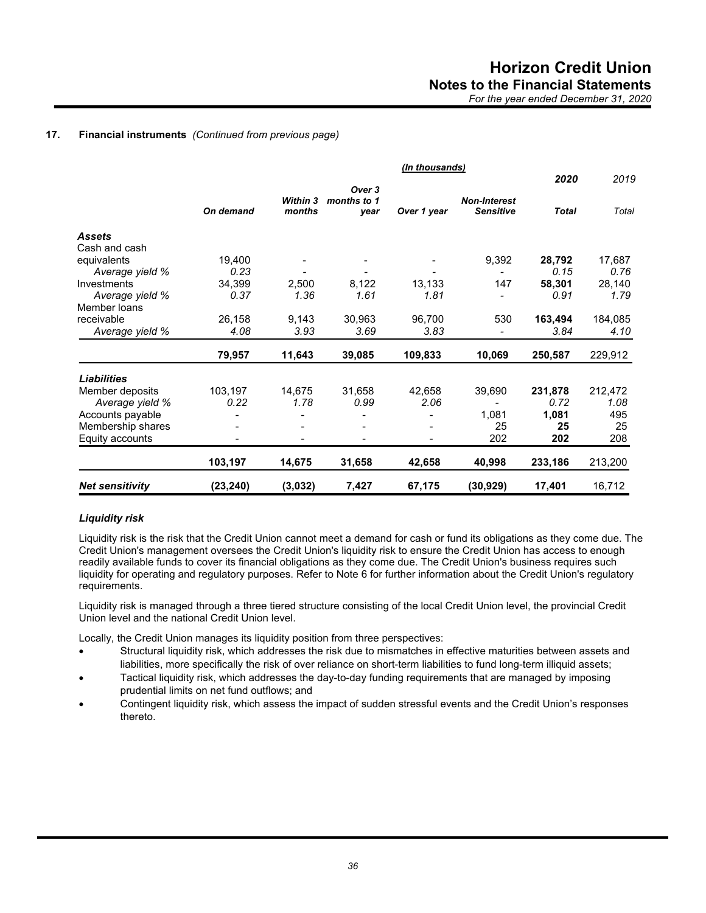|                        |           |                 |                       | (In thousands) |                     |              |         |
|------------------------|-----------|-----------------|-----------------------|----------------|---------------------|--------------|---------|
|                        |           | <b>Within 3</b> | Over 3<br>months to 1 |                | <b>Non-Interest</b> | 2020         | 2019    |
|                        | On demand | months          | year                  | Over 1 year    | <b>Sensitive</b>    | <b>Total</b> | Total   |
| <b>Assets</b>          |           |                 |                       |                |                     |              |         |
| Cash and cash          |           |                 |                       |                |                     |              |         |
| equivalents            | 19,400    |                 |                       |                | 9,392               | 28,792       | 17,687  |
| Average yield %        | 0.23      |                 |                       |                |                     | 0.15         | 0.76    |
| Investments            | 34,399    | 2,500           | 8,122                 | 13,133         | 147                 | 58,301       | 28,140  |
| Average yield %        | 0.37      | 1.36            | 1.61                  | 1.81           |                     | 0.91         | 1.79    |
| Member loans           |           |                 |                       |                |                     |              |         |
| receivable             | 26,158    | 9,143           | 30,963                | 96,700         | 530                 | 163,494      | 184,085 |
| Average yield %        | 4.08      | 3.93            | 3.69                  | 3.83           |                     | 3.84         | 4.10    |
|                        | 79,957    | 11,643          | 39,085                | 109,833        | 10,069              | 250,587      | 229,912 |
| <b>Liabilities</b>     |           |                 |                       |                |                     |              |         |
| Member deposits        | 103,197   | 14,675          | 31,658                | 42,658         | 39,690              | 231,878      | 212,472 |
| Average yield %        | 0.22      | 1.78            | 0.99                  | 2.06           |                     | 0.72         | 1.08    |
| Accounts payable       |           |                 |                       |                | 1,081               | 1,081        | 495     |
| Membership shares      |           |                 |                       |                | 25                  | 25           | 25      |
| Equity accounts        |           |                 |                       |                | 202                 | 202          | 208     |
|                        | 103,197   | 14,675          | 31,658                | 42,658         | 40,998              | 233,186      | 213,200 |
| <b>Net sensitivity</b> | (23, 240) | (3,032)         | 7,427                 | 67,175         | (30, 929)           | 17,401       | 16,712  |

## *Liquidity risk*

Liquidity risk is the risk that the Credit Union cannot meet a demand for cash or fund its obligations as they come due. The Credit Union's management oversees the Credit Union's liquidity risk to ensure the Credit Union has access to enough readily available funds to cover its financial obligations as they come due. The Credit Union's business requires such liquidity for operating and regulatory purposes. Refer to Note 6 for further information about the Credit Union's regulatory requirements.

Liquidity risk is managed through a three tiered structure consisting of the local Credit Union level, the provincial Credit Union level and the national Credit Union level.

Locally, the Credit Union manages its liquidity position from three perspectives:

- Structural liquidity risk, which addresses the risk due to mismatches in effective maturities between assets and liabilities, more specifically the risk of over reliance on short-term liabilities to fund long-term illiquid assets;
- Tactical liquidity risk, which addresses the day-to-day funding requirements that are managed by imposing prudential limits on net fund outflows; and
- Contingent liquidity risk, which assess the impact of sudden stressful events and the Credit Union's responses thereto.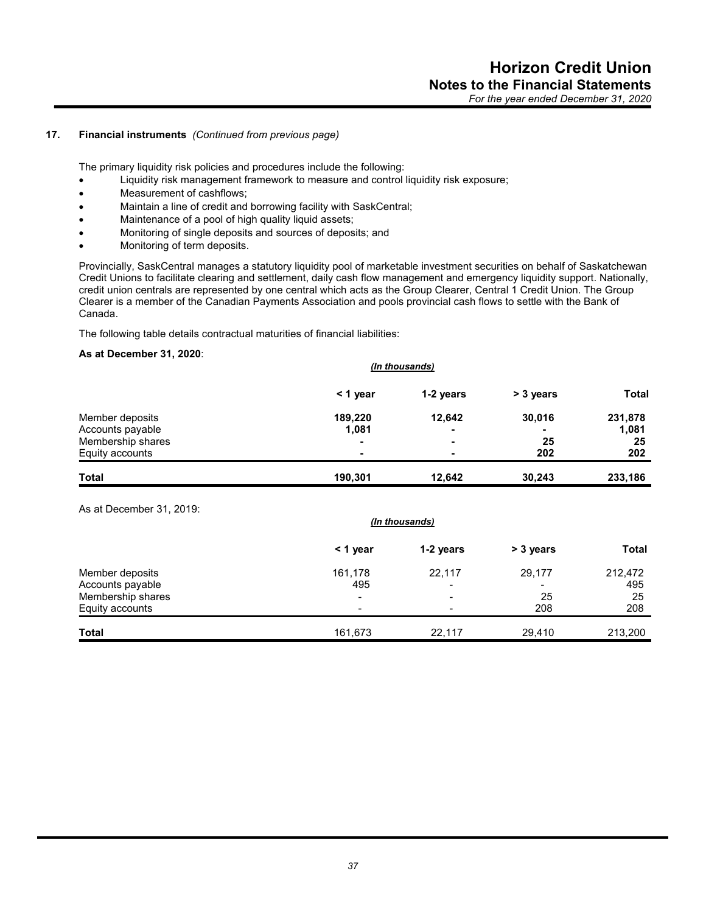The primary liquidity risk policies and procedures include the following:

- Liquidity risk management framework to measure and control liquidity risk exposure;
- Measurement of cashflows;
- Maintain a line of credit and borrowing facility with SaskCentral;
- Maintenance of a pool of high quality liquid assets;
- Monitoring of single deposits and sources of deposits; and
- Monitoring of term deposits.

Provincially, SaskCentral manages a statutory liquidity pool of marketable investment securities on behalf of Saskatchewan Credit Unions to facilitate clearing and settlement, daily cash flow management and emergency liquidity support. Nationally, credit union centrals are represented by one central which acts as the Group Clearer, Central 1 Credit Union. The Group Clearer is a member of the Canadian Payments Association and pools provincial cash flows to settle with the Bank of Canada.

The following table details contractual maturities of financial liabilities:

## **As at December 31, 2020**:

|                                     | (In thousands)   |                          |           |                  |  |
|-------------------------------------|------------------|--------------------------|-----------|------------------|--|
|                                     | $<$ 1 year       | 1-2 years                | > 3 years | <b>Total</b>     |  |
| Member deposits<br>Accounts payable | 189.220<br>1,081 | 12,642<br>$\blacksquare$ | 30,016    | 231,878<br>1,081 |  |
| Membership shares                   | -                | ۰                        | 25        | 25               |  |
| Equity accounts                     | -                |                          | 202       | 202              |  |
| <b>Total</b>                        | 190,301          | 12,642                   | 30,243    | 233,186          |  |

#### As at December 31, 2019:

|                                     | (In thousands) |             |                          |                |
|-------------------------------------|----------------|-------------|--------------------------|----------------|
|                                     | < 1 year       | 1-2 years   | > 3 years                | <b>Total</b>   |
| Member deposits<br>Accounts payable | 161,178<br>495 | 22,117<br>- | 29,177<br>$\blacksquare$ | 212,472<br>495 |
| Membership shares                   | $\blacksquare$ | $\,$        | 25                       | 25             |
| Equity accounts                     | $\blacksquare$ |             | 208                      | 208            |
| <b>Total</b>                        | 161,673        | 22,117      | 29.410                   | 213,200        |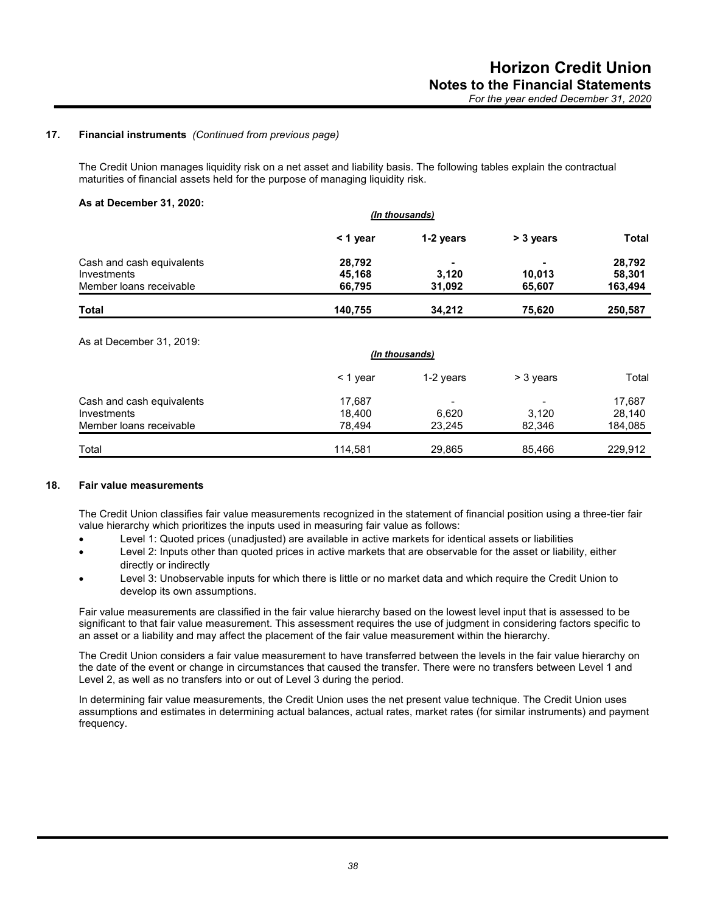The Credit Union manages liquidity risk on a net asset and liability basis. The following tables explain the contractual maturities of financial assets held for the purpose of managing liquidity risk.

#### **As at December 31, 2020:**

|                           | (In thousands) |           |                          |              |  |
|---------------------------|----------------|-----------|--------------------------|--------------|--|
|                           | $<$ 1 year     | 1-2 years | > 3 years                | <b>Total</b> |  |
| Cash and cash equivalents | 28,792         |           | $\overline{\phantom{0}}$ | 28,792       |  |
| Investments               | 45,168         | 3.120     | 10,013                   | 58.301       |  |
| Member loans receivable   | 66.795         | 31.092    | 65,607                   | 163,494      |  |
| <b>Total</b>              | 140,755        | 34.212    | 75,620                   | 250,587      |  |

As at December 31, 2019:

|                                          | (In thousands)   |           |                                   |                  |
|------------------------------------------|------------------|-----------|-----------------------------------|------------------|
|                                          | $\leq$ 1 year    | 1-2 years | > 3 years                         | Total            |
| Cash and cash equivalents<br>Investments | 17,687<br>18.400 | 6,620     | $\overline{\phantom{0}}$<br>3.120 | 17,687<br>28,140 |
| Member loans receivable                  | 78.494           | 23.245    | 82.346                            | 184,085          |
| Total                                    | 114.581          | 29,865    | 85,466                            | 229,912          |

#### **18. Fair value measurements**

The Credit Union classifies fair value measurements recognized in the statement of financial position using a three-tier fair value hierarchy which prioritizes the inputs used in measuring fair value as follows:

- Level 1: Quoted prices (unadjusted) are available in active markets for identical assets or liabilities
- Level 2: Inputs other than quoted prices in active markets that are observable for the asset or liability, either directly or indirectly
- Level 3: Unobservable inputs for which there is little or no market data and which require the Credit Union to develop its own assumptions.

Fair value measurements are classified in the fair value hierarchy based on the lowest level input that is assessed to be significant to that fair value measurement. This assessment requires the use of judgment in considering factors specific to an asset or a liability and may affect the placement of the fair value measurement within the hierarchy.

The Credit Union considers a fair value measurement to have transferred between the levels in the fair value hierarchy on the date of the event or change in circumstances that caused the transfer. There were no transfers between Level 1 and Level 2, as well as no transfers into or out of Level 3 during the period.

In determining fair value measurements, the Credit Union uses the net present value technique. The Credit Union uses assumptions and estimates in determining actual balances, actual rates, market rates (for similar instruments) and payment frequency.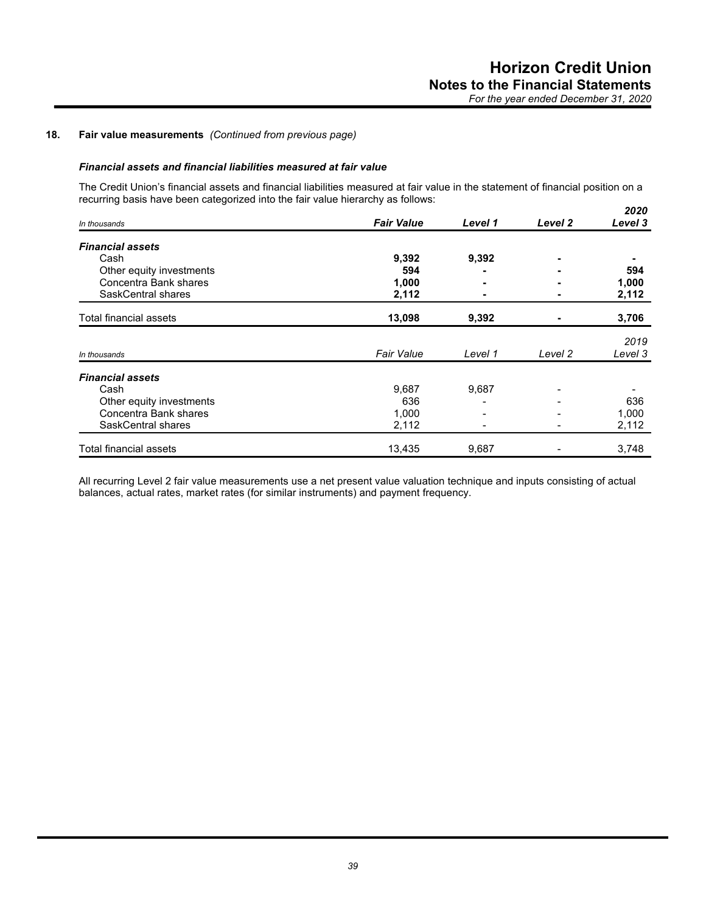## **18. Fair value measurements** *(Continued from previous page)*

## *Financial assets and financial liabilities measured at fair value*

The Credit Union's financial assets and financial liabilities measured at fair value in the statement of financial position on a recurring basis have been categorized into the fair value hierarchy as follows: *2020*

| In thousands             | <b>Fair Value</b> | Level 1 | Level 2 | ZUZU<br>Level 3 |
|--------------------------|-------------------|---------|---------|-----------------|
| <b>Financial assets</b>  |                   |         |         |                 |
| Cash                     | 9,392             | 9,392   |         |                 |
| Other equity investments | 594               |         |         | 594             |
| Concentra Bank shares    | 1,000             |         |         | 1,000           |
| SaskCentral shares       | 2,112             |         |         | 2,112           |
| Total financial assets   | 13,098            | 9,392   |         | 3,706           |
|                          |                   |         |         | 2019            |
| In thousands             | <b>Fair Value</b> | Level 1 | Level 2 | Level 3         |
| <b>Financial assets</b>  |                   |         |         |                 |
| Cash                     | 9,687             | 9,687   |         |                 |
| Other equity investments | 636               |         |         | 636             |
| Concentra Bank shares    | 1,000             |         |         | 1,000           |
| SaskCentral shares       | 2,112             |         |         | 2,112           |
| Total financial assets   | 13,435            | 9,687   |         | 3,748           |

All recurring Level 2 fair value measurements use a net present value valuation technique and inputs consisting of actual balances, actual rates, market rates (for similar instruments) and payment frequency.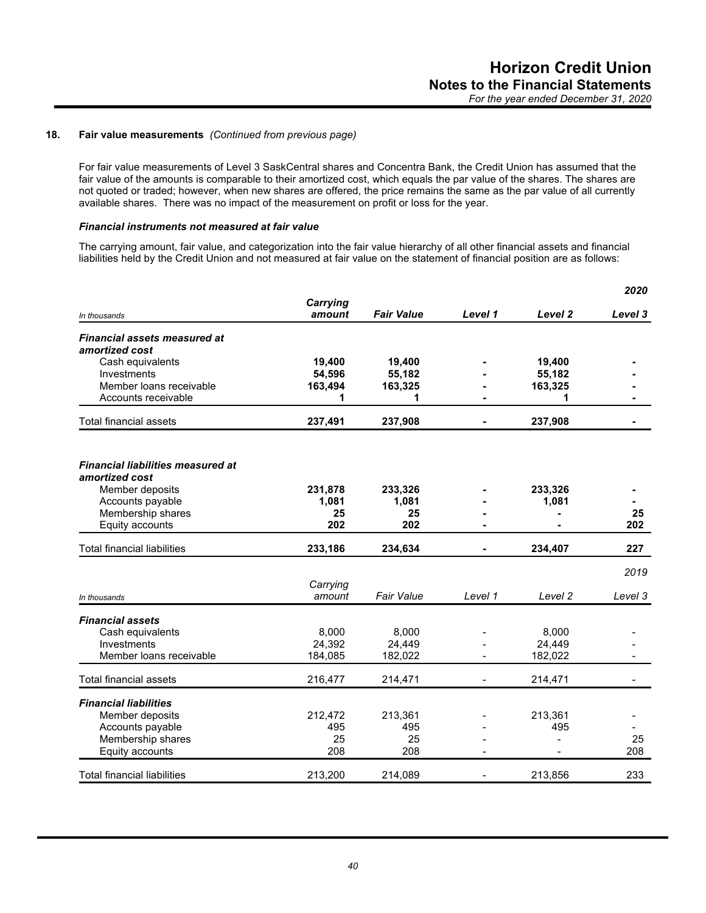## **18. Fair value measurements** *(Continued from previous page)*

For fair value measurements of Level 3 SaskCentral shares and Concentra Bank, the Credit Union has assumed that the fair value of the amounts is comparable to their amortized cost, which equals the par value of the shares. The shares are not quoted or traded; however, when new shares are offered, the price remains the same as the par value of all currently available shares. There was no impact of the measurement on profit or loss for the year.

## *Financial instruments not measured at fair value*

The carrying amount, fair value, and categorization into the fair value hierarchy of all other financial assets and financial liabilities held by the Credit Union and not measured at fair value on the statement of financial position are as follows:

|                                          |                 |                   |         |                    | 2020    |
|------------------------------------------|-----------------|-------------------|---------|--------------------|---------|
|                                          | <b>Carrying</b> |                   |         |                    |         |
| In thousands                             | amount          | <b>Fair Value</b> | Level 1 | Level <sub>2</sub> | Level 3 |
| <b>Financial assets measured at</b>      |                 |                   |         |                    |         |
| amortized cost                           |                 |                   |         |                    |         |
| Cash equivalents                         | 19,400          | 19,400            |         | 19,400             |         |
| Investments                              | 54,596          | 55,182            |         | 55,182             |         |
| Member Ioans receivable                  | 163,494         | 163,325           |         | 163,325            |         |
| Accounts receivable                      | 1               | 1                 |         | 1                  |         |
| <b>Total financial assets</b>            | 237,491         | 237,908           |         | 237,908            |         |
|                                          |                 |                   |         |                    |         |
| <b>Financial liabilities measured at</b> |                 |                   |         |                    |         |
| amortized cost                           |                 |                   |         |                    |         |
| Member deposits                          | 231,878         | 233,326           |         | 233,326            |         |
| Accounts payable                         | 1,081           | 1,081             |         | 1,081              |         |
| Membership shares                        | 25              | 25                |         |                    | 25      |
| Equity accounts                          | 202             | 202               |         |                    | 202     |
| <b>Total financial liabilities</b>       | 233,186         | 234,634           |         | 234,407            | 227     |
|                                          |                 |                   |         |                    | 2019    |
|                                          | Carrying        |                   |         |                    |         |
| In thousands                             | amount          | <b>Fair Value</b> | Level 1 | Level 2            | Level 3 |
|                                          |                 |                   |         |                    |         |
| <b>Financial assets</b>                  |                 |                   |         |                    |         |
| Cash equivalents                         | 8,000           | 8,000             |         | 8,000              |         |
| Investments                              | 24,392          | 24,449            |         | 24,449             |         |
| Member Ioans receivable                  | 184,085         | 182,022           |         | 182,022            |         |
| <b>Total financial assets</b>            | 216,477         | 214,471           |         | 214,471            |         |
| <b>Financial liabilities</b>             |                 |                   |         |                    |         |
| Member deposits                          | 212,472         | 213,361           |         | 213,361            |         |
| Accounts payable                         | 495             | 495               |         | 495                |         |
| Membership shares                        | 25              | 25                |         |                    | 25      |
| Equity accounts                          | 208             | 208               |         |                    | 208     |
|                                          |                 |                   |         |                    |         |
| <b>Total financial liabilities</b>       | 213,200         | 214,089           |         | 213,856            | 233     |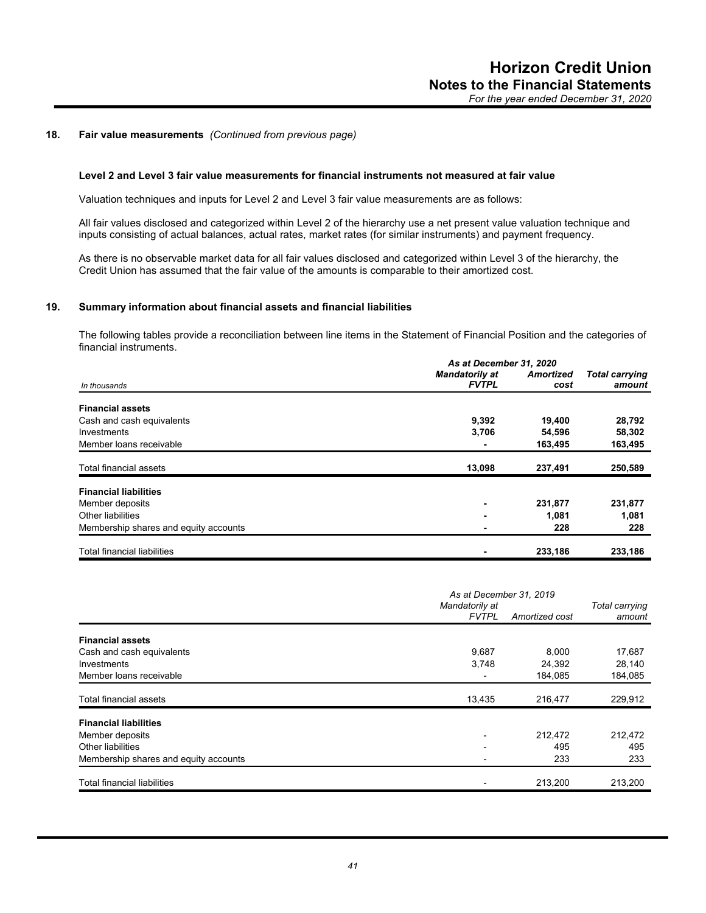## **18. Fair value measurements** *(Continued from previous page)*

## **Level 2 and Level 3 fair value measurements for financial instruments not measured at fair value**

Valuation techniques and inputs for Level 2 and Level 3 fair value measurements are as follows:

All fair values disclosed and categorized within Level 2 of the hierarchy use a net present value valuation technique and inputs consisting of actual balances, actual rates, market rates (for similar instruments) and payment frequency.

As there is no observable market data for all fair values disclosed and categorized within Level 3 of the hierarchy, the Credit Union has assumed that the fair value of the amounts is comparable to their amortized cost.

#### **19. Summary information about financial assets and financial liabilities**

The following tables provide a reconciliation between line items in the Statement of Financial Position and the categories of financial instruments.

|                                       |                       | As at December 31, 2020 |                       |  |  |
|---------------------------------------|-----------------------|-------------------------|-----------------------|--|--|
|                                       | <b>Mandatorily at</b> | <b>Amortized</b>        | <b>Total carrying</b> |  |  |
| In thousands                          | <b>FVTPL</b>          | cost                    | amount                |  |  |
|                                       |                       |                         |                       |  |  |
| <b>Financial assets</b>               |                       |                         |                       |  |  |
| Cash and cash equivalents             | 9,392                 | 19,400                  | 28,792                |  |  |
| Investments                           | 3,706                 | 54,596                  | 58,302                |  |  |
| Member loans receivable               |                       | 163,495                 | 163,495               |  |  |
| Total financial assets                | 13,098                | 237,491                 | 250,589               |  |  |
| <b>Financial liabilities</b>          |                       |                         |                       |  |  |
| Member deposits                       |                       | 231,877                 | 231,877               |  |  |
| Other liabilities                     |                       | 1,081                   | 1,081                 |  |  |
| Membership shares and equity accounts |                       | 228                     | 228                   |  |  |
|                                       |                       |                         |                       |  |  |
| <b>Total financial liabilities</b>    |                       | 233,186                 | 233,186               |  |  |

|                                       | As at December 31, 2019        |                |                          |
|---------------------------------------|--------------------------------|----------------|--------------------------|
|                                       | Mandatorily at<br><b>FVTPL</b> | Amortized cost | Total carrying<br>amount |
| <b>Financial assets</b>               |                                |                |                          |
| Cash and cash equivalents             | 9,687                          | 8.000          | 17,687                   |
| Investments                           | 3,748                          | 24,392         | 28,140                   |
| Member loans receivable               |                                | 184,085        | 184,085                  |
| Total financial assets                | 13,435                         | 216,477        | 229,912                  |
| <b>Financial liabilities</b>          |                                |                |                          |
| Member deposits                       |                                | 212,472        | 212,472                  |
| Other liabilities                     |                                | 495            | 495                      |
| Membership shares and equity accounts |                                | 233            | 233                      |
| <b>Total financial liabilities</b>    |                                | 213,200        | 213,200                  |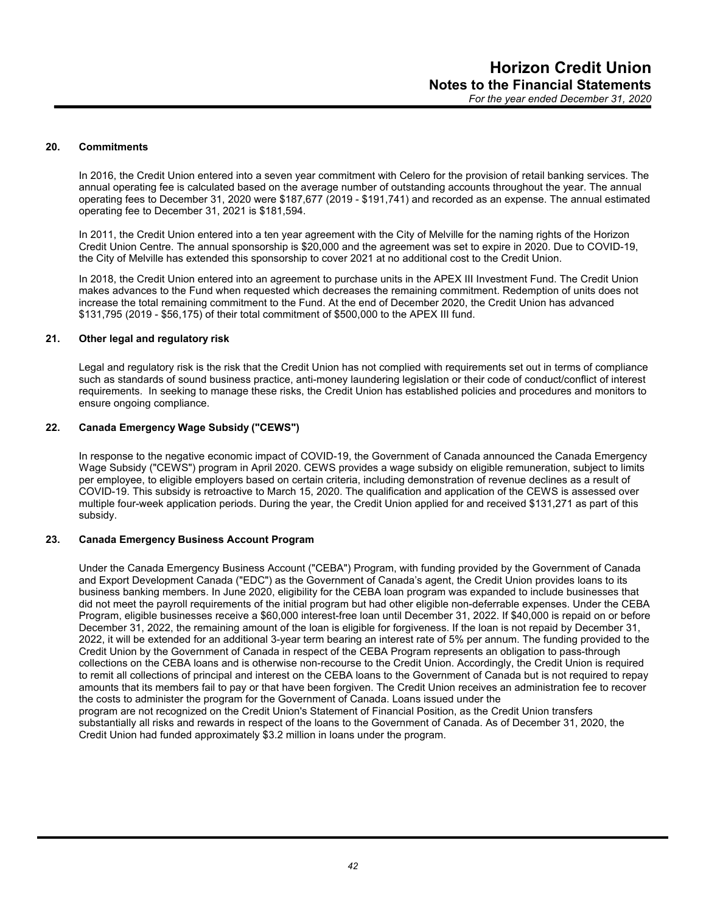## **20. Commitments**

In 2016, the Credit Union entered into a seven year commitment with Celero for the provision of retail banking services. The annual operating fee is calculated based on the average number of outstanding accounts throughout the year. The annual operating fees to December 31, 2020 were \$187,677 (2019 - \$191,741) and recorded as an expense. The annual estimated operating fee to December 31, 2021 is \$181,594.

In 2011, the Credit Union entered into a ten year agreement with the City of Melville for the naming rights of the Horizon Credit Union Centre. The annual sponsorship is \$20,000 and the agreement was set to expire in 2020. Due to COVID-19, the City of Melville has extended this sponsorship to cover 2021 at no additional cost to the Credit Union.

In 2018, the Credit Union entered into an agreement to purchase units in the APEX III Investment Fund. The Credit Union makes advances to the Fund when requested which decreases the remaining commitment. Redemption of units does not increase the total remaining commitment to the Fund. At the end of December 2020, the Credit Union has advanced \$131,795 (2019 - \$56,175) of their total commitment of \$500,000 to the APEX III fund.

#### **21. Other legal and regulatory risk**

Legal and regulatory risk is the risk that the Credit Union has not complied with requirements set out in terms of compliance such as standards of sound business practice, anti-money laundering legislation or their code of conduct/conflict of interest requirements. In seeking to manage these risks, the Credit Union has established policies and procedures and monitors to ensure ongoing compliance.

#### **22. Canada Emergency Wage Subsidy ("CEWS")**

In response to the negative economic impact of COVID-19, the Government of Canada announced the Canada Emergency Wage Subsidy ("CEWS") program in April 2020. CEWS provides a wage subsidy on eligible remuneration, subject to limits per employee, to eligible employers based on certain criteria, including demonstration of revenue declines as a result of COVID-19. This subsidy is retroactive to March 15, 2020. The qualification and application of the CEWS is assessed over multiple four-week application periods. During the year, the Credit Union applied for and received \$131,271 as part of this subsidy.

## **23. Canada Emergency Business Account Program**

Under the Canada Emergency Business Account ("CEBA") Program, with funding provided by the Government of Canada and Export Development Canada ("EDC") as the Government of Canada's agent, the Credit Union provides loans to its business banking members. In June 2020, eligibility for the CEBA loan program was expanded to include businesses that did not meet the payroll requirements of the initial program but had other eligible non-deferrable expenses. Under the CEBA Program, eligible businesses receive a \$60,000 interest-free loan until December 31, 2022. If \$40,000 is repaid on or before December 31, 2022, the remaining amount of the loan is eligible for forgiveness. If the loan is not repaid by December 31, 2022, it will be extended for an additional 3-year term bearing an interest rate of 5% per annum. The funding provided to the Credit Union by the Government of Canada in respect of the CEBA Program represents an obligation to pass-through collections on the CEBA loans and is otherwise non-recourse to the Credit Union. Accordingly, the Credit Union is required to remit all collections of principal and interest on the CEBA loans to the Government of Canada but is not required to repay amounts that its members fail to pay or that have been forgiven. The Credit Union receives an administration fee to recover the costs to administer the program for the Government of Canada. Loans issued under the program are not recognized on the Credit Union's Statement of Financial Position, as the Credit Union transfers substantially all risks and rewards in respect of the loans to the Government of Canada. As of December 31, 2020, the

Credit Union had funded approximately \$3.2 million in loans under the program.